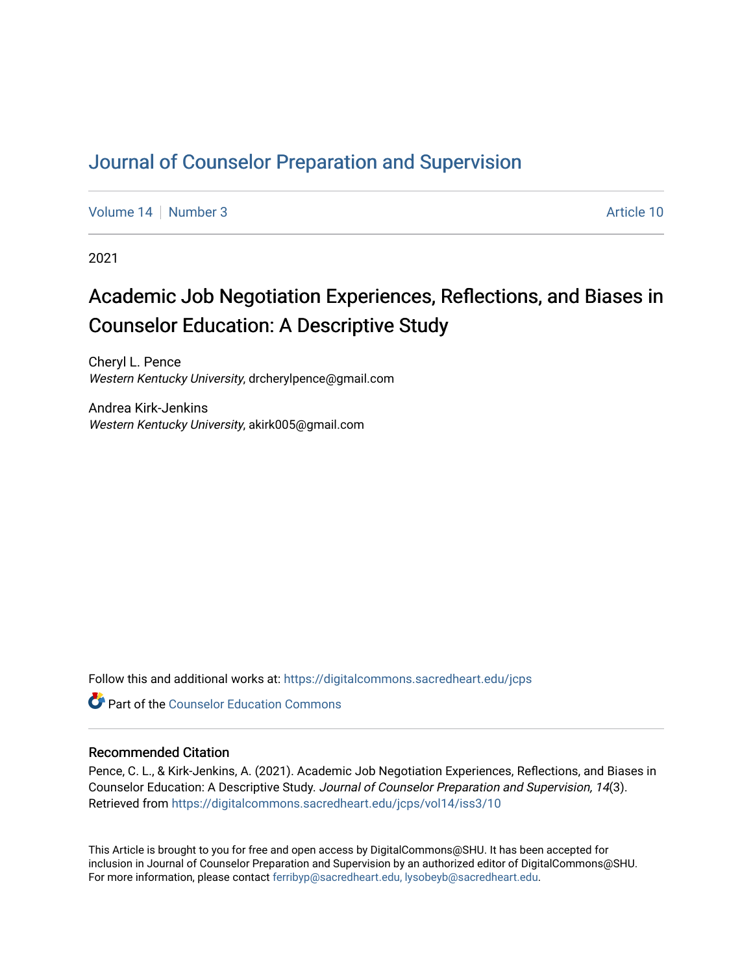# [Journal of Counselor Preparation and Supervision](https://digitalcommons.sacredheart.edu/jcps)

[Volume 14](https://digitalcommons.sacredheart.edu/jcps/vol14) | [Number 3](https://digitalcommons.sacredheart.edu/jcps/vol14/iss3) Article 10

2021

# Academic Job Negotiation Experiences, Reflections, and Biases in Counselor Education: A Descriptive Study

Cheryl L. Pence Western Kentucky University, drcherylpence@gmail.com

Andrea Kirk-Jenkins Western Kentucky University, akirk005@gmail.com

Follow this and additional works at: [https://digitalcommons.sacredheart.edu/jcps](https://digitalcommons.sacredheart.edu/jcps?utm_source=digitalcommons.sacredheart.edu%2Fjcps%2Fvol14%2Fiss3%2F10&utm_medium=PDF&utm_campaign=PDFCoverPages) 

**C** Part of the Counselor Education Commons

# Recommended Citation

Pence, C. L., & Kirk-Jenkins, A. (2021). Academic Job Negotiation Experiences, Reflections, and Biases in Counselor Education: A Descriptive Study. Journal of Counselor Preparation and Supervision, 14(3). Retrieved from [https://digitalcommons.sacredheart.edu/jcps/vol14/iss3/10](https://digitalcommons.sacredheart.edu/jcps/vol14/iss3/10?utm_source=digitalcommons.sacredheart.edu%2Fjcps%2Fvol14%2Fiss3%2F10&utm_medium=PDF&utm_campaign=PDFCoverPages) 

This Article is brought to you for free and open access by DigitalCommons@SHU. It has been accepted for inclusion in Journal of Counselor Preparation and Supervision by an authorized editor of DigitalCommons@SHU. For more information, please contact [ferribyp@sacredheart.edu, lysobeyb@sacredheart.edu.](mailto:ferribyp@sacredheart.edu,%20lysobeyb@sacredheart.edu)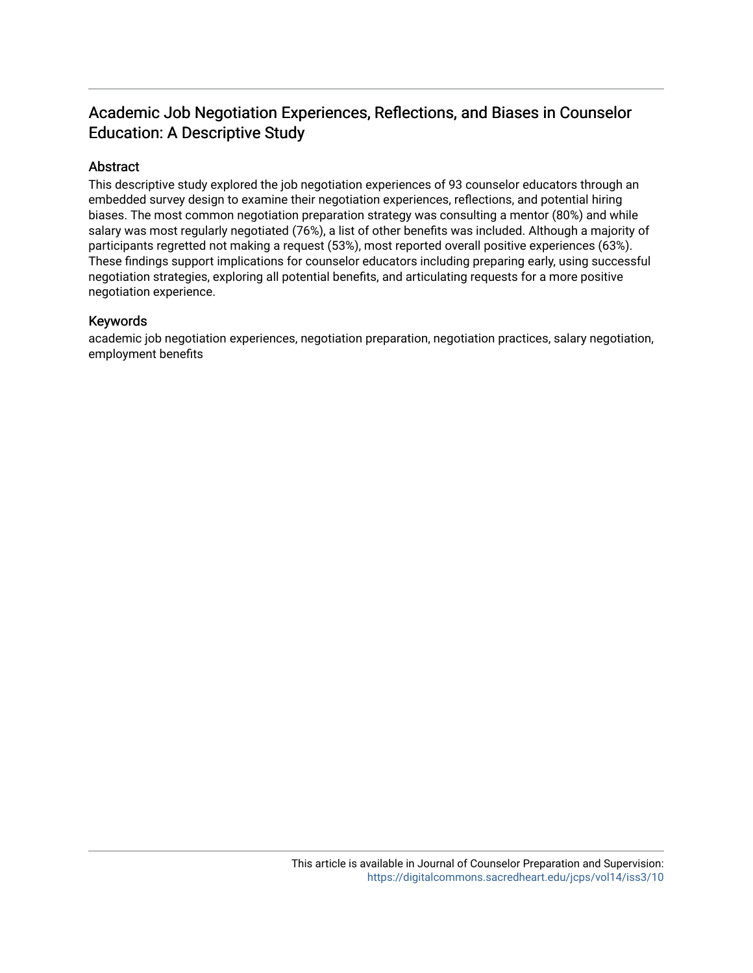# Academic Job Negotiation Experiences, Reflections, and Biases in Counselor Education: A Descriptive Study

# Abstract

This descriptive study explored the job negotiation experiences of 93 counselor educators through an embedded survey design to examine their negotiation experiences, reflections, and potential hiring biases. The most common negotiation preparation strategy was consulting a mentor (80%) and while salary was most regularly negotiated (76%), a list of other benefits was included. Although a majority of participants regretted not making a request (53%), most reported overall positive experiences (63%). These findings support implications for counselor educators including preparing early, using successful negotiation strategies, exploring all potential benefits, and articulating requests for a more positive negotiation experience.

# Keywords

academic job negotiation experiences, negotiation preparation, negotiation practices, salary negotiation, employment benefits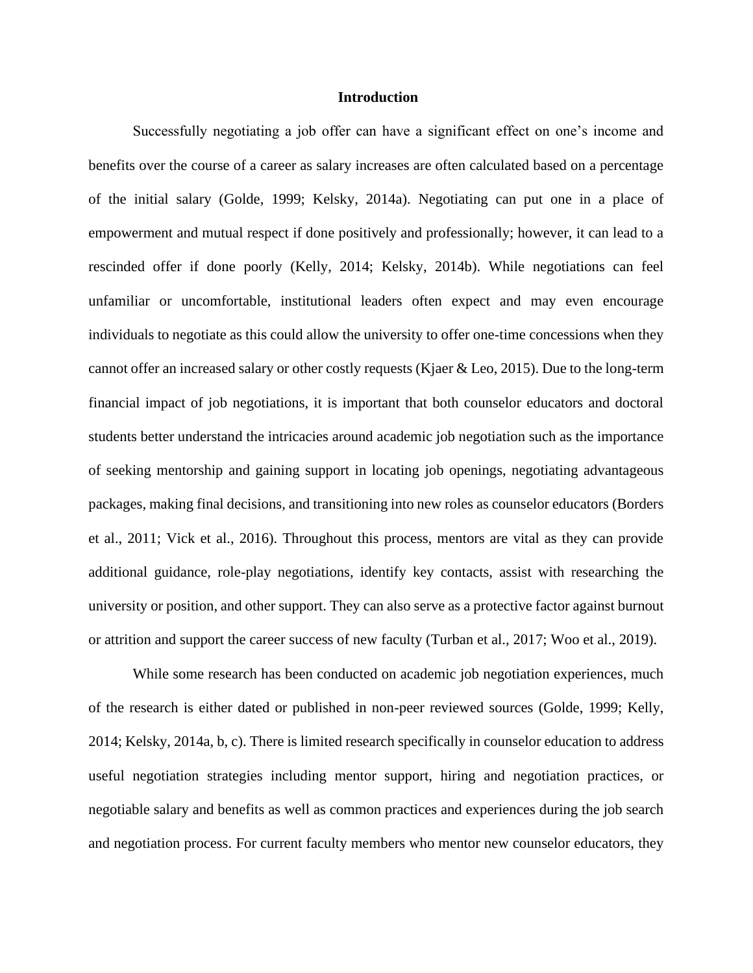#### **Introduction**

Successfully negotiating a job offer can have a significant effect on one's income and benefits over the course of a career as salary increases are often calculated based on a percentage of the initial salary (Golde, 1999; Kelsky, 2014a). Negotiating can put one in a place of empowerment and mutual respect if done positively and professionally; however, it can lead to a rescinded offer if done poorly (Kelly, 2014; Kelsky, 2014b). While negotiations can feel unfamiliar or uncomfortable, institutional leaders often expect and may even encourage individuals to negotiate as this could allow the university to offer one-time concessions when they cannot offer an increased salary or other costly requests (Kjaer & Leo, 2015). Due to the long-term financial impact of job negotiations, it is important that both counselor educators and doctoral students better understand the intricacies around academic job negotiation such as the importance of seeking mentorship and gaining support in locating job openings, negotiating advantageous packages, making final decisions, and transitioning into new roles as counselor educators (Borders et al., 2011; Vick et al., 2016). Throughout this process, mentors are vital as they can provide additional guidance, role-play negotiations, identify key contacts, assist with researching the university or position, and other support. They can also serve as a protective factor against burnout or attrition and support the career success of new faculty (Turban et al., 2017; Woo et al., 2019).

While some research has been conducted on academic job negotiation experiences, much of the research is either dated or published in non-peer reviewed sources (Golde, 1999; Kelly, 2014; Kelsky, 2014a, b, c). There is limited research specifically in counselor education to address useful negotiation strategies including mentor support, hiring and negotiation practices, or negotiable salary and benefits as well as common practices and experiences during the job search and negotiation process. For current faculty members who mentor new counselor educators, they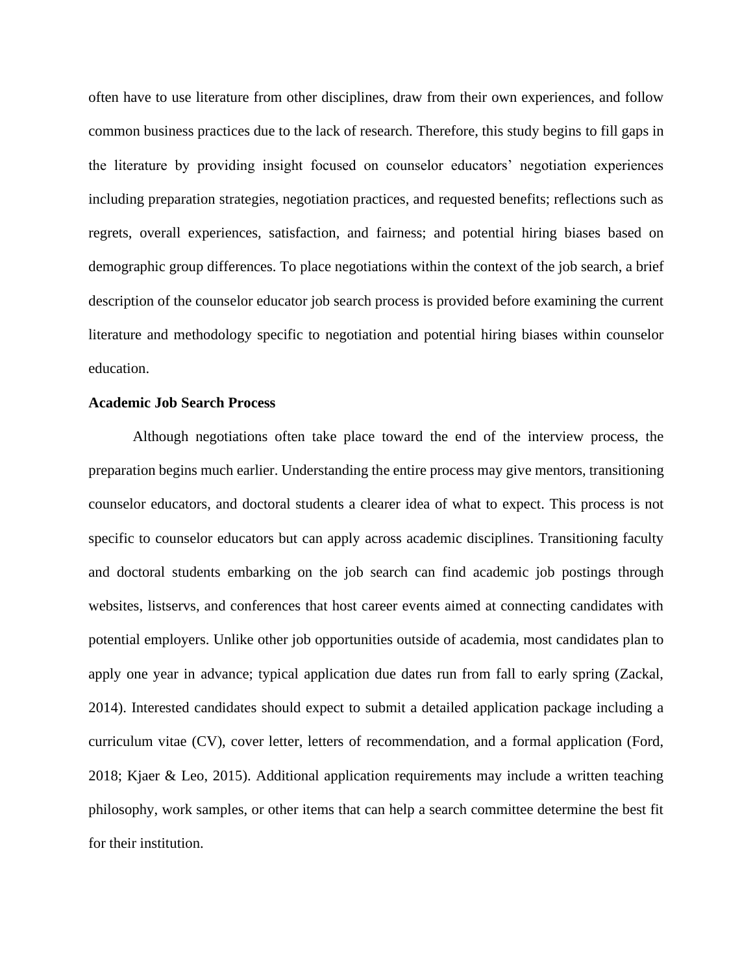often have to use literature from other disciplines, draw from their own experiences, and follow common business practices due to the lack of research. Therefore, this study begins to fill gaps in the literature by providing insight focused on counselor educators' negotiation experiences including preparation strategies, negotiation practices, and requested benefits; reflections such as regrets, overall experiences, satisfaction, and fairness; and potential hiring biases based on demographic group differences. To place negotiations within the context of the job search, a brief description of the counselor educator job search process is provided before examining the current literature and methodology specific to negotiation and potential hiring biases within counselor education.

# **Academic Job Search Process**

Although negotiations often take place toward the end of the interview process, the preparation begins much earlier. Understanding the entire process may give mentors, transitioning counselor educators, and doctoral students a clearer idea of what to expect. This process is not specific to counselor educators but can apply across academic disciplines. Transitioning faculty and doctoral students embarking on the job search can find academic job postings through websites, listservs, and conferences that host career events aimed at connecting candidates with potential employers. Unlike other job opportunities outside of academia, most candidates plan to apply one year in advance; typical application due dates run from fall to early spring (Zackal, 2014). Interested candidates should expect to submit a detailed application package including a curriculum vitae (CV), cover letter, letters of recommendation, and a formal application (Ford, 2018; Kjaer & Leo, 2015). Additional application requirements may include a written teaching philosophy, work samples, or other items that can help a search committee determine the best fit for their institution.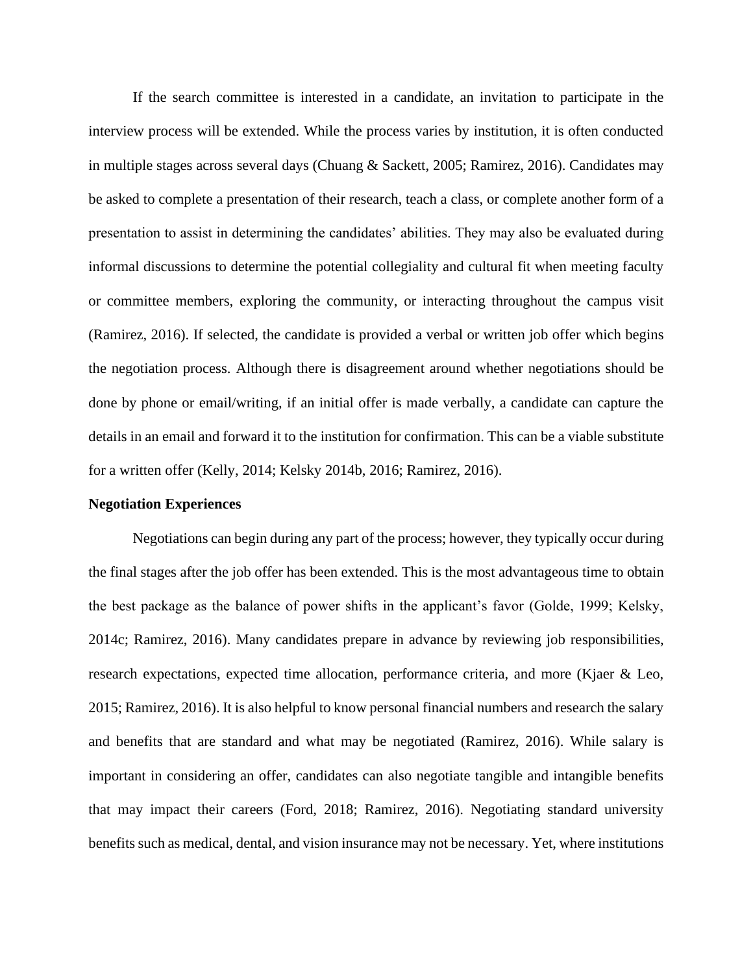If the search committee is interested in a candidate, an invitation to participate in the interview process will be extended. While the process varies by institution, it is often conducted in multiple stages across several days (Chuang & Sackett, 2005; Ramirez, 2016). Candidates may be asked to complete a presentation of their research, teach a class, or complete another form of a presentation to assist in determining the candidates' abilities. They may also be evaluated during informal discussions to determine the potential collegiality and cultural fit when meeting faculty or committee members, exploring the community, or interacting throughout the campus visit (Ramirez, 2016). If selected, the candidate is provided a verbal or written job offer which begins the negotiation process. Although there is disagreement around whether negotiations should be done by phone or email/writing, if an initial offer is made verbally, a candidate can capture the details in an email and forward it to the institution for confirmation. This can be a viable substitute for a written offer (Kelly, 2014; Kelsky 2014b, 2016; Ramirez, 2016).

#### **Negotiation Experiences**

Negotiations can begin during any part of the process; however, they typically occur during the final stages after the job offer has been extended. This is the most advantageous time to obtain the best package as the balance of power shifts in the applicant's favor (Golde, 1999; Kelsky, 2014c; Ramirez, 2016). Many candidates prepare in advance by reviewing job responsibilities, research expectations, expected time allocation, performance criteria, and more (Kjaer & Leo, 2015; Ramirez, 2016). It is also helpful to know personal financial numbers and research the salary and benefits that are standard and what may be negotiated (Ramirez, 2016). While salary is important in considering an offer, candidates can also negotiate tangible and intangible benefits that may impact their careers (Ford, 2018; Ramirez, 2016). Negotiating standard university benefits such as medical, dental, and vision insurance may not be necessary. Yet, where institutions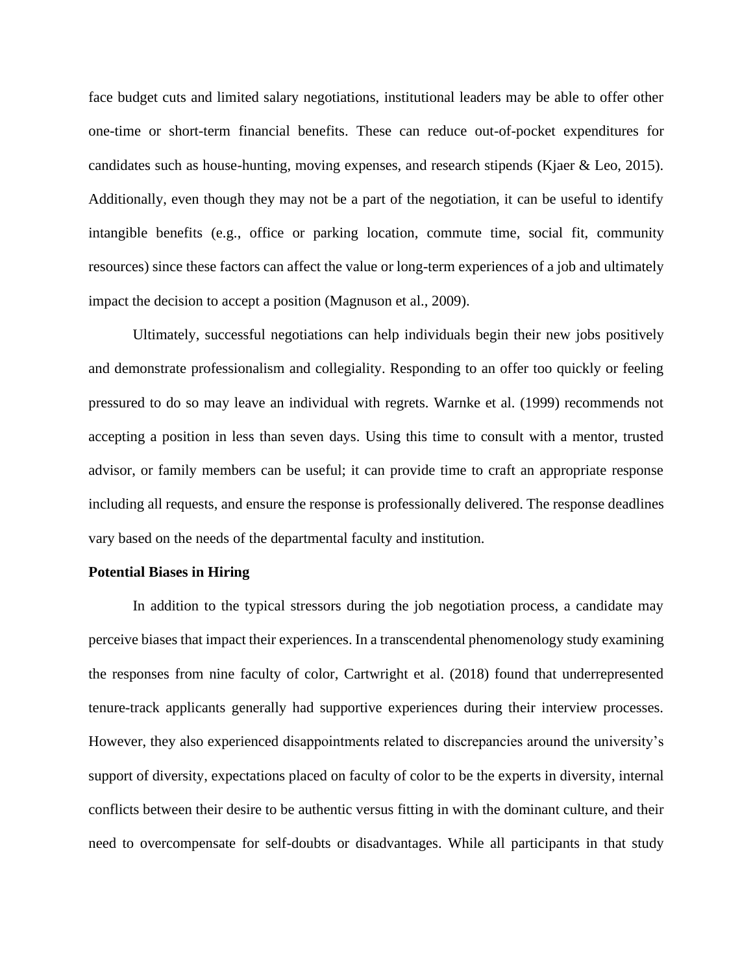face budget cuts and limited salary negotiations, institutional leaders may be able to offer other one-time or short-term financial benefits. These can reduce out-of-pocket expenditures for candidates such as house-hunting, moving expenses, and research stipends (Kjaer & Leo, 2015). Additionally, even though they may not be a part of the negotiation, it can be useful to identify intangible benefits (e.g., office or parking location, commute time, social fit, community resources) since these factors can affect the value or long-term experiences of a job and ultimately impact the decision to accept a position (Magnuson et al., 2009).

Ultimately, successful negotiations can help individuals begin their new jobs positively and demonstrate professionalism and collegiality. Responding to an offer too quickly or feeling pressured to do so may leave an individual with regrets. Warnke et al. (1999) recommends not accepting a position in less than seven days. Using this time to consult with a mentor, trusted advisor, or family members can be useful; it can provide time to craft an appropriate response including all requests, and ensure the response is professionally delivered. The response deadlines vary based on the needs of the departmental faculty and institution.

#### **Potential Biases in Hiring**

In addition to the typical stressors during the job negotiation process, a candidate may perceive biases that impact their experiences. In a transcendental phenomenology study examining the responses from nine faculty of color, Cartwright et al. (2018) found that underrepresented tenure-track applicants generally had supportive experiences during their interview processes. However, they also experienced disappointments related to discrepancies around the university's support of diversity, expectations placed on faculty of color to be the experts in diversity, internal conflicts between their desire to be authentic versus fitting in with the dominant culture, and their need to overcompensate for self-doubts or disadvantages. While all participants in that study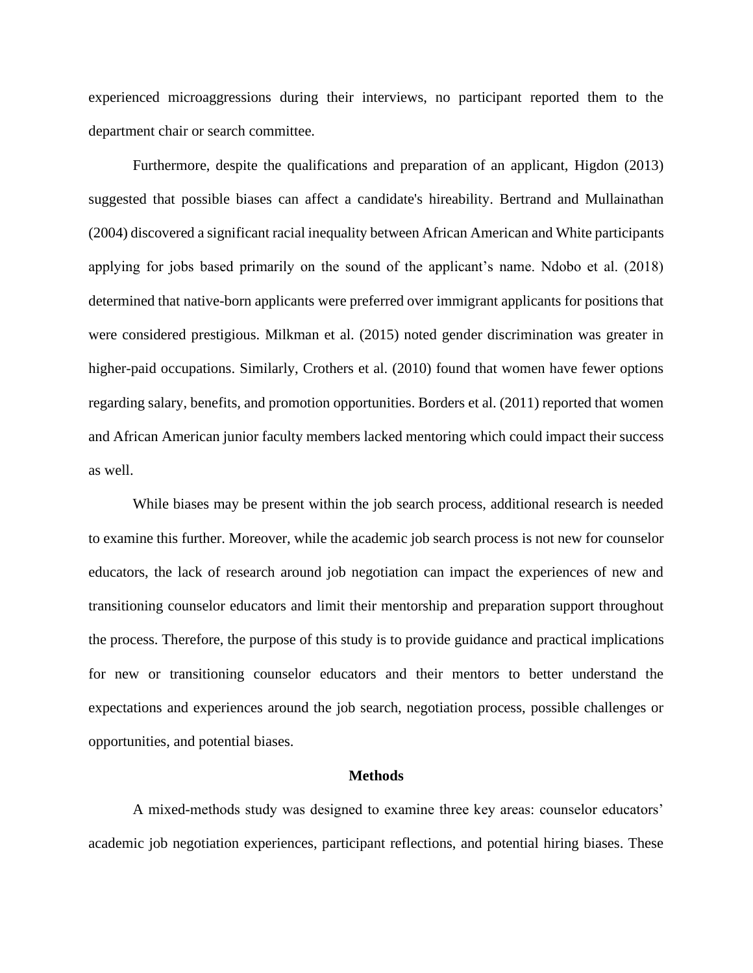experienced microaggressions during their interviews, no participant reported them to the department chair or search committee.

Furthermore, despite the qualifications and preparation of an applicant, Higdon (2013) suggested that possible biases can affect a candidate's hireability. Bertrand and Mullainathan (2004) discovered a significant racial inequality between African American and White participants applying for jobs based primarily on the sound of the applicant's name. Ndobo et al. (2018) determined that native-born applicants were preferred over immigrant applicants for positions that were considered prestigious. Milkman et al. (2015) noted gender discrimination was greater in higher-paid occupations. Similarly, Crothers et al. (2010) found that women have fewer options regarding salary, benefits, and promotion opportunities. Borders et al. (2011) reported that women and African American junior faculty members lacked mentoring which could impact their success as well.

While biases may be present within the job search process, additional research is needed to examine this further. Moreover, while the academic job search process is not new for counselor educators, the lack of research around job negotiation can impact the experiences of new and transitioning counselor educators and limit their mentorship and preparation support throughout the process. Therefore, the purpose of this study is to provide guidance and practical implications for new or transitioning counselor educators and their mentors to better understand the expectations and experiences around the job search, negotiation process, possible challenges or opportunities, and potential biases.

#### **Methods**

A mixed-methods study was designed to examine three key areas: counselor educators' academic job negotiation experiences, participant reflections, and potential hiring biases. These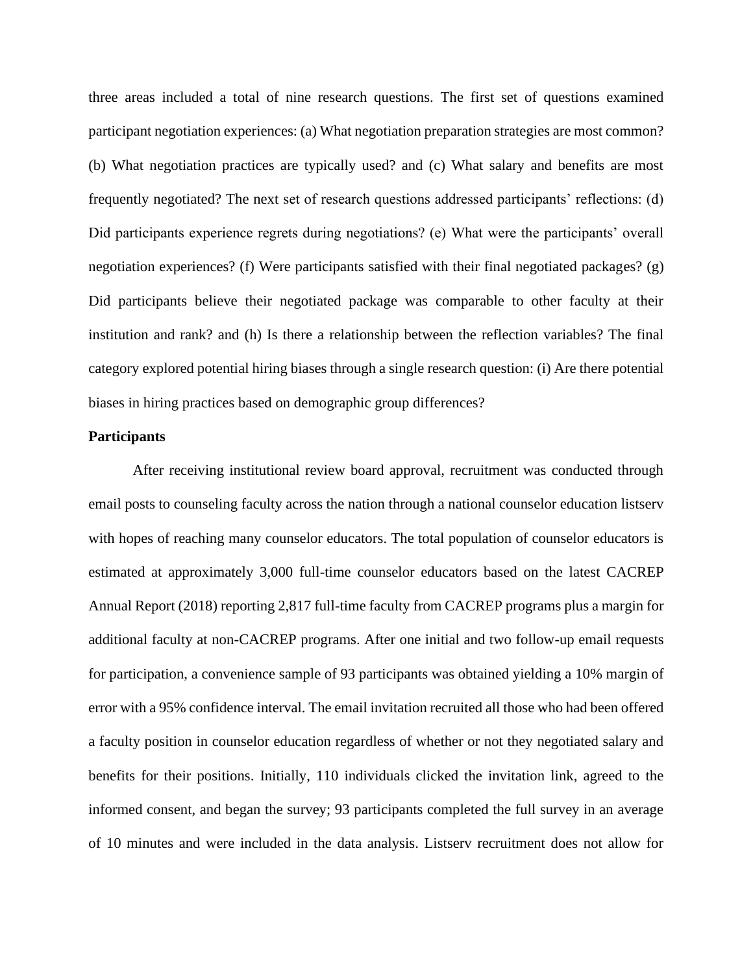three areas included a total of nine research questions. The first set of questions examined participant negotiation experiences: (a) What negotiation preparation strategies are most common? (b) What negotiation practices are typically used? and (c) What salary and benefits are most frequently negotiated? The next set of research questions addressed participants' reflections: (d) Did participants experience regrets during negotiations? (e) What were the participants' overall negotiation experiences? (f) Were participants satisfied with their final negotiated packages? (g) Did participants believe their negotiated package was comparable to other faculty at their institution and rank? and (h) Is there a relationship between the reflection variables? The final category explored potential hiring biases through a single research question: (i) Are there potential biases in hiring practices based on demographic group differences?

### **Participants**

After receiving institutional review board approval, recruitment was conducted through email posts to counseling faculty across the nation through a national counselor education listserv with hopes of reaching many counselor educators. The total population of counselor educators is estimated at approximately 3,000 full-time counselor educators based on the latest CACREP Annual Report (2018) reporting 2,817 full-time faculty from CACREP programs plus a margin for additional faculty at non-CACREP programs. After one initial and two follow-up email requests for participation, a convenience sample of 93 participants was obtained yielding a 10% margin of error with a 95% confidence interval. The email invitation recruited all those who had been offered a faculty position in counselor education regardless of whether or not they negotiated salary and benefits for their positions. Initially, 110 individuals clicked the invitation link, agreed to the informed consent, and began the survey; 93 participants completed the full survey in an average of 10 minutes and were included in the data analysis. Listserv recruitment does not allow for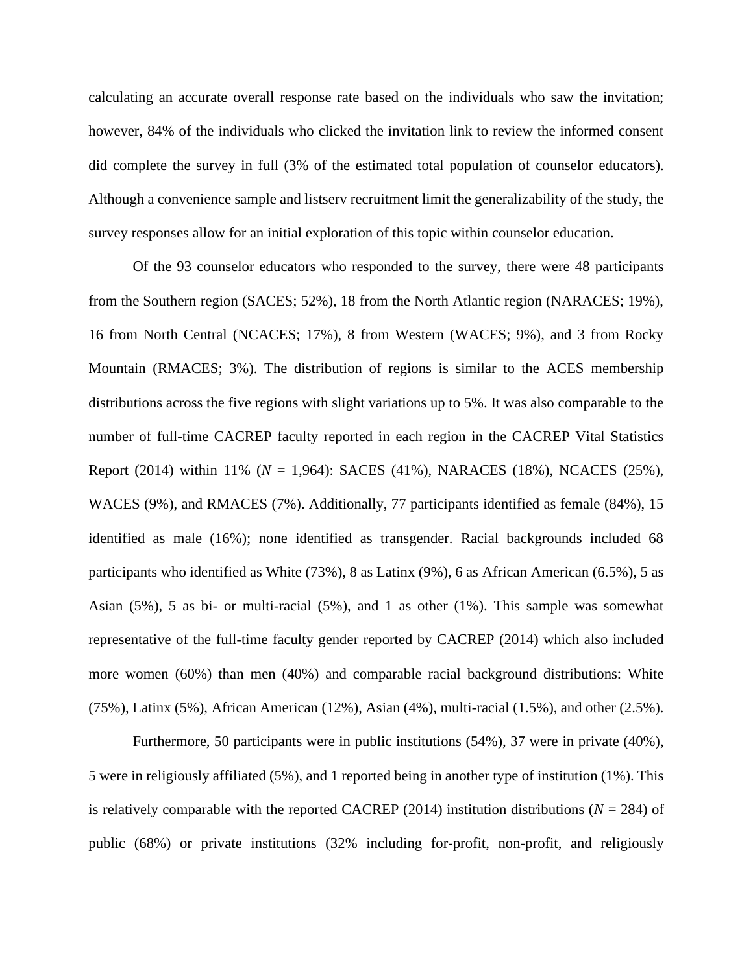calculating an accurate overall response rate based on the individuals who saw the invitation; however, 84% of the individuals who clicked the invitation link to review the informed consent did complete the survey in full (3% of the estimated total population of counselor educators). Although a convenience sample and listserv recruitment limit the generalizability of the study, the survey responses allow for an initial exploration of this topic within counselor education.

Of the 93 counselor educators who responded to the survey, there were 48 participants from the Southern region (SACES; 52%), 18 from the North Atlantic region (NARACES; 19%), 16 from North Central (NCACES; 17%), 8 from Western (WACES; 9%), and 3 from Rocky Mountain (RMACES; 3%). The distribution of regions is similar to the ACES membership distributions across the five regions with slight variations up to 5%. It was also comparable to the number of full-time CACREP faculty reported in each region in the CACREP Vital Statistics Report (2014) within 11% (*N* = 1,964): SACES (41%), NARACES (18%), NCACES (25%), WACES (9%), and RMACES (7%). Additionally, 77 participants identified as female (84%), 15 identified as male (16%); none identified as transgender. Racial backgrounds included 68 participants who identified as White (73%), 8 as Latinx (9%), 6 as African American (6.5%), 5 as Asian  $(5\%)$ , 5 as bi- or multi-racial  $(5\%)$ , and 1 as other  $(1\%)$ . This sample was somewhat representative of the full-time faculty gender reported by CACREP (2014) which also included more women (60%) than men (40%) and comparable racial background distributions: White (75%), Latinx (5%), African American (12%), Asian (4%), multi-racial (1.5%), and other (2.5%).

Furthermore, 50 participants were in public institutions (54%), 37 were in private (40%), 5 were in religiously affiliated (5%), and 1 reported being in another type of institution (1%). This is relatively comparable with the reported CACREP (2014) institution distributions ( $N = 284$ ) of public (68%) or private institutions (32% including for-profit, non-profit, and religiously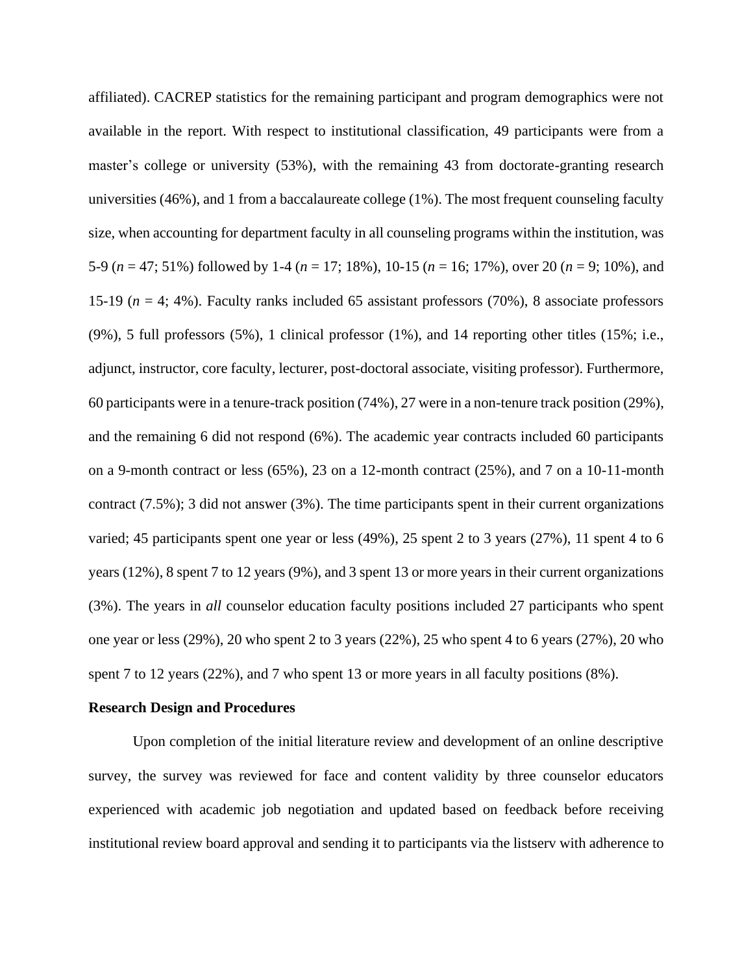affiliated). CACREP statistics for the remaining participant and program demographics were not available in the report. With respect to institutional classification, 49 participants were from a master's college or university (53%), with the remaining 43 from doctorate-granting research universities (46%), and 1 from a baccalaureate college (1%). The most frequent counseling faculty size, when accounting for department faculty in all counseling programs within the institution, was 5-9 (*n* = 47; 51%) followed by 1-4 (*n* = 17; 18%), 10-15 (*n* = 16; 17%), over 20 (*n* = 9; 10%), and 15-19 (*n* = 4; 4%). Faculty ranks included 65 assistant professors (70%), 8 associate professors  $(9\%)$ , 5 full professors  $(5\%)$ , 1 clinical professor  $(1\%)$ , and 14 reporting other titles  $(15\%; i.e.,$ adjunct, instructor, core faculty, lecturer, post-doctoral associate, visiting professor). Furthermore, 60 participants were in a tenure-track position (74%), 27 were in a non-tenure track position (29%), and the remaining 6 did not respond (6%). The academic year contracts included 60 participants on a 9-month contract or less (65%), 23 on a 12-month contract (25%), and 7 on a 10-11-month contract (7.5%); 3 did not answer (3%). The time participants spent in their current organizations varied; 45 participants spent one year or less (49%), 25 spent 2 to 3 years (27%), 11 spent 4 to 6 years (12%), 8 spent 7 to 12 years (9%), and 3 spent 13 or more years in their current organizations (3%). The years in *all* counselor education faculty positions included 27 participants who spent one year or less (29%), 20 who spent 2 to 3 years (22%), 25 who spent 4 to 6 years (27%), 20 who spent 7 to 12 years (22%), and 7 who spent 13 or more years in all faculty positions (8%).

#### **Research Design and Procedures**

Upon completion of the initial literature review and development of an online descriptive survey, the survey was reviewed for face and content validity by three counselor educators experienced with academic job negotiation and updated based on feedback before receiving institutional review board approval and sending it to participants via the listserv with adherence to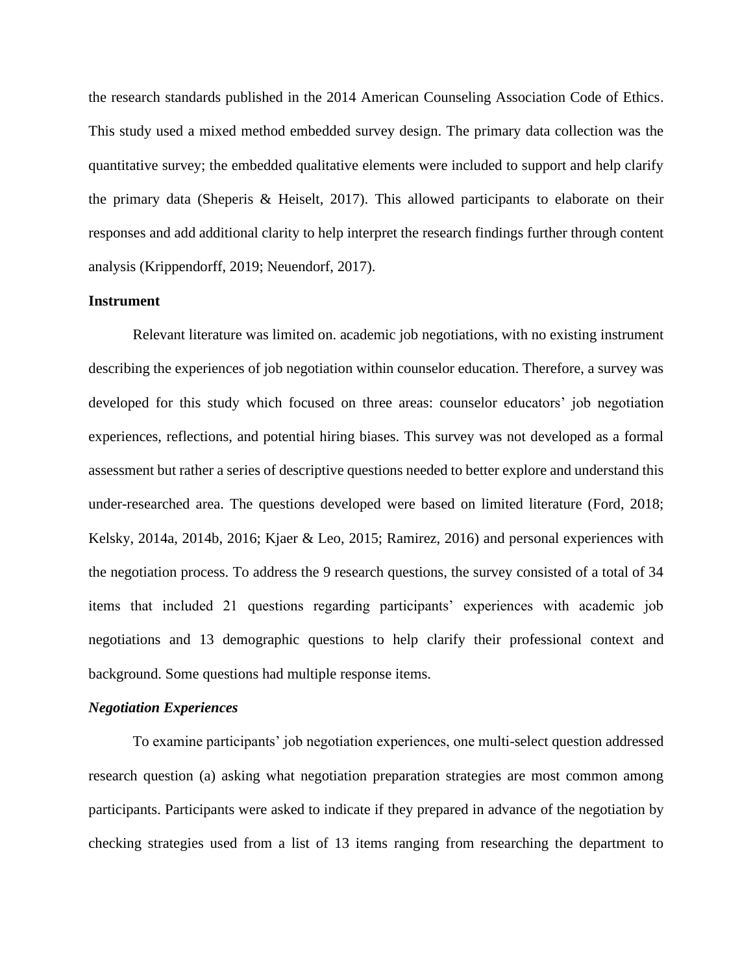the research standards published in the 2014 American Counseling Association Code of Ethics. This study used a mixed method embedded survey design. The primary data collection was the quantitative survey; the embedded qualitative elements were included to support and help clarify the primary data (Sheperis & Heiselt, 2017). This allowed participants to elaborate on their responses and add additional clarity to help interpret the research findings further through content analysis (Krippendorff, 2019; Neuendorf, 2017).

# **Instrument**

Relevant literature was limited on. academic job negotiations, with no existing instrument describing the experiences of job negotiation within counselor education. Therefore, a survey was developed for this study which focused on three areas: counselor educators' job negotiation experiences, reflections, and potential hiring biases. This survey was not developed as a formal assessment but rather a series of descriptive questions needed to better explore and understand this under-researched area. The questions developed were based on limited literature (Ford, 2018; Kelsky, 2014a, 2014b, 2016; Kjaer & Leo, 2015; Ramirez, 2016) and personal experiences with the negotiation process. To address the 9 research questions, the survey consisted of a total of 34 items that included 21 questions regarding participants' experiences with academic job negotiations and 13 demographic questions to help clarify their professional context and background. Some questions had multiple response items.

#### *Negotiation Experiences*

To examine participants' job negotiation experiences, one multi-select question addressed research question (a) asking what negotiation preparation strategies are most common among participants. Participants were asked to indicate if they prepared in advance of the negotiation by checking strategies used from a list of 13 items ranging from researching the department to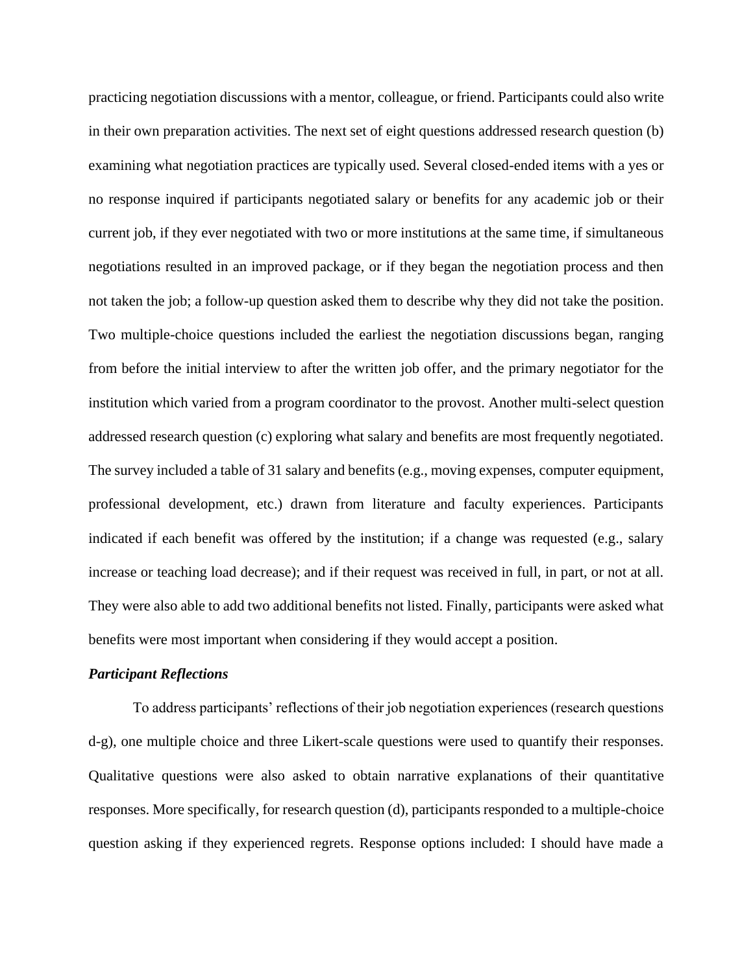practicing negotiation discussions with a mentor, colleague, or friend. Participants could also write in their own preparation activities. The next set of eight questions addressed research question (b) examining what negotiation practices are typically used. Several closed-ended items with a yes or no response inquired if participants negotiated salary or benefits for any academic job or their current job, if they ever negotiated with two or more institutions at the same time, if simultaneous negotiations resulted in an improved package, or if they began the negotiation process and then not taken the job; a follow-up question asked them to describe why they did not take the position. Two multiple-choice questions included the earliest the negotiation discussions began, ranging from before the initial interview to after the written job offer, and the primary negotiator for the institution which varied from a program coordinator to the provost. Another multi-select question addressed research question (c) exploring what salary and benefits are most frequently negotiated. The survey included a table of 31 salary and benefits (e.g., moving expenses, computer equipment, professional development, etc.) drawn from literature and faculty experiences. Participants indicated if each benefit was offered by the institution; if a change was requested (e.g., salary increase or teaching load decrease); and if their request was received in full, in part, or not at all. They were also able to add two additional benefits not listed. Finally, participants were asked what benefits were most important when considering if they would accept a position.

#### *Participant Reflections*

To address participants' reflections of their job negotiation experiences (research questions d-g), one multiple choice and three Likert-scale questions were used to quantify their responses. Qualitative questions were also asked to obtain narrative explanations of their quantitative responses. More specifically, for research question (d), participants responded to a multiple-choice question asking if they experienced regrets. Response options included: I should have made a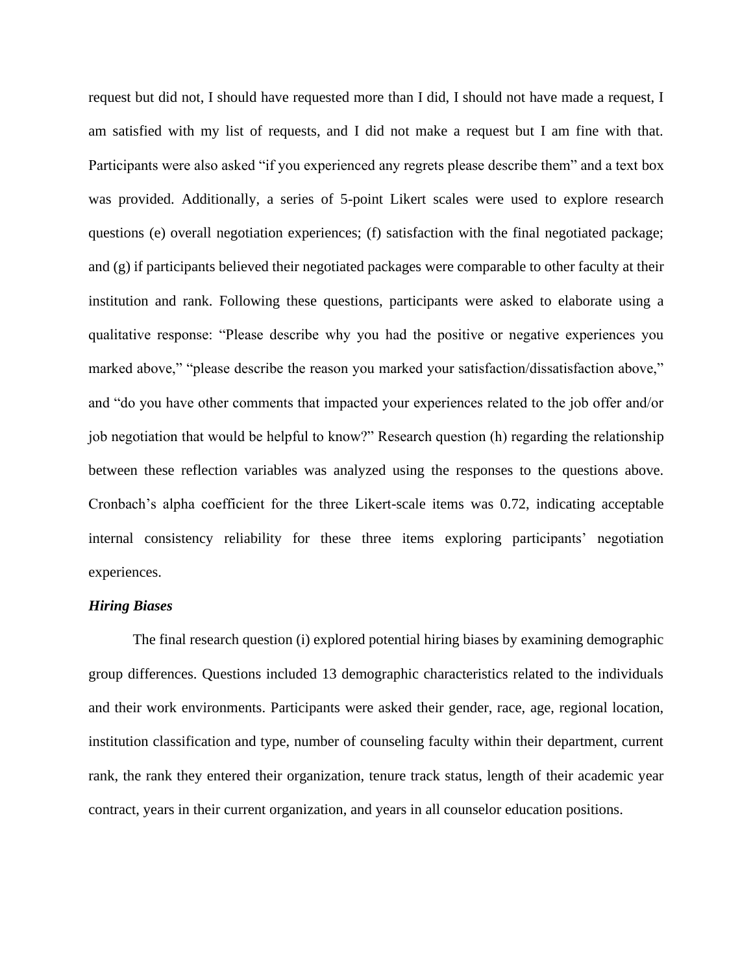request but did not, I should have requested more than I did, I should not have made a request, I am satisfied with my list of requests, and I did not make a request but I am fine with that. Participants were also asked "if you experienced any regrets please describe them" and a text box was provided. Additionally, a series of 5-point Likert scales were used to explore research questions (e) overall negotiation experiences; (f) satisfaction with the final negotiated package; and (g) if participants believed their negotiated packages were comparable to other faculty at their institution and rank. Following these questions, participants were asked to elaborate using a qualitative response: "Please describe why you had the positive or negative experiences you marked above," "please describe the reason you marked your satisfaction/dissatisfaction above," and "do you have other comments that impacted your experiences related to the job offer and/or job negotiation that would be helpful to know?" Research question (h) regarding the relationship between these reflection variables was analyzed using the responses to the questions above. Cronbach's alpha coefficient for the three Likert-scale items was 0.72, indicating acceptable internal consistency reliability for these three items exploring participants' negotiation experiences.

#### *Hiring Biases*

The final research question (i) explored potential hiring biases by examining demographic group differences. Questions included 13 demographic characteristics related to the individuals and their work environments. Participants were asked their gender, race, age, regional location, institution classification and type, number of counseling faculty within their department, current rank, the rank they entered their organization, tenure track status, length of their academic year contract, years in their current organization, and years in all counselor education positions.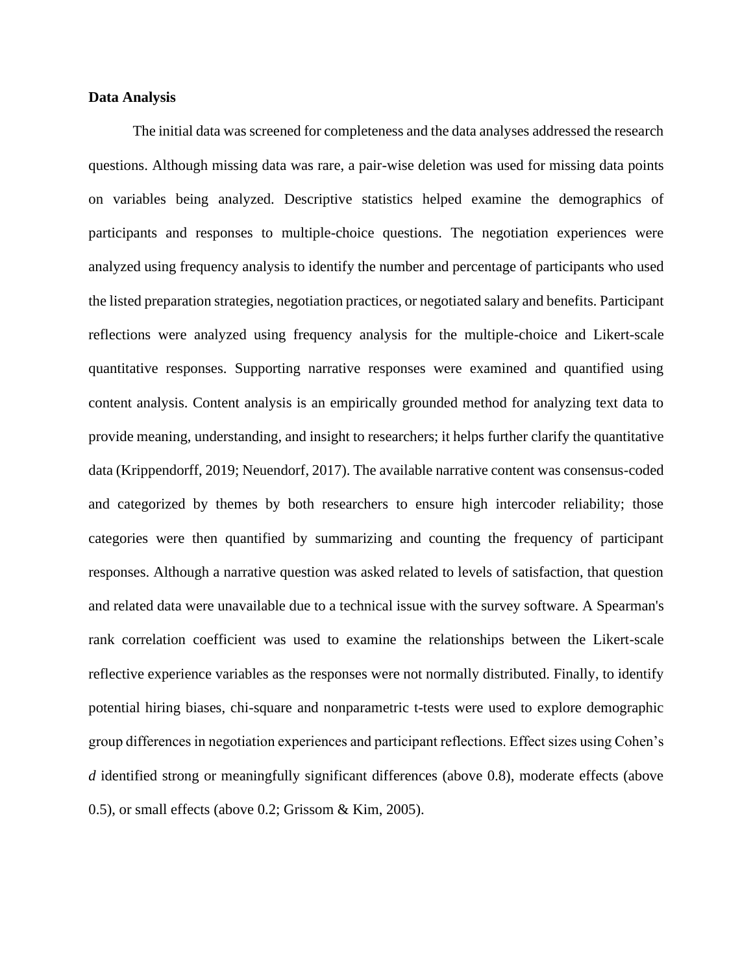# **Data Analysis**

The initial data was screened for completeness and the data analyses addressed the research questions. Although missing data was rare, a pair-wise deletion was used for missing data points on variables being analyzed. Descriptive statistics helped examine the demographics of participants and responses to multiple-choice questions. The negotiation experiences were analyzed using frequency analysis to identify the number and percentage of participants who used the listed preparation strategies, negotiation practices, or negotiated salary and benefits. Participant reflections were analyzed using frequency analysis for the multiple-choice and Likert-scale quantitative responses. Supporting narrative responses were examined and quantified using content analysis. Content analysis is an empirically grounded method for analyzing text data to provide meaning, understanding, and insight to researchers; it helps further clarify the quantitative data (Krippendorff, 2019; Neuendorf, 2017). The available narrative content was consensus-coded and categorized by themes by both researchers to ensure high intercoder reliability; those categories were then quantified by summarizing and counting the frequency of participant responses. Although a narrative question was asked related to levels of satisfaction, that question and related data were unavailable due to a technical issue with the survey software. A Spearman's rank correlation coefficient was used to examine the relationships between the Likert-scale reflective experience variables as the responses were not normally distributed. Finally, to identify potential hiring biases, chi-square and nonparametric t-tests were used to explore demographic group differences in negotiation experiences and participant reflections. Effect sizes using Cohen's *d* identified strong or meaningfully significant differences (above 0.8), moderate effects (above 0.5), or small effects (above 0.2; Grissom & Kim, 2005).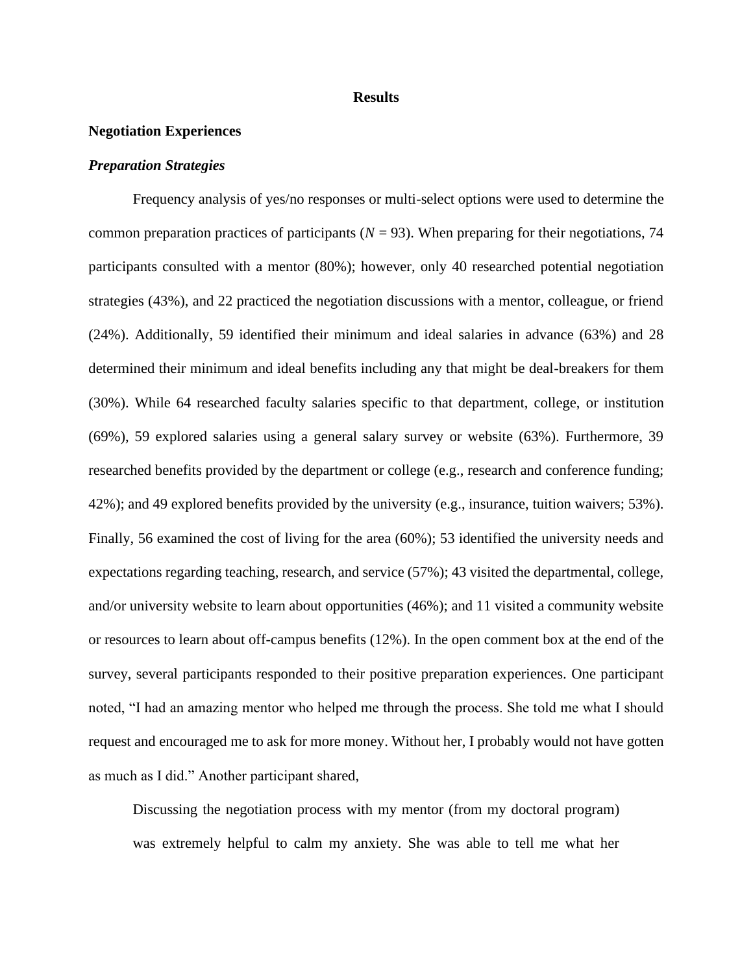#### **Results**

### **Negotiation Experiences**

### *Preparation Strategies*

Frequency analysis of yes/no responses or multi-select options were used to determine the common preparation practices of participants ( $N = 93$ ). When preparing for their negotiations, 74 participants consulted with a mentor (80%); however, only 40 researched potential negotiation strategies (43%), and 22 practiced the negotiation discussions with a mentor, colleague, or friend (24%). Additionally, 59 identified their minimum and ideal salaries in advance (63%) and 28 determined their minimum and ideal benefits including any that might be deal-breakers for them (30%). While 64 researched faculty salaries specific to that department, college, or institution (69%), 59 explored salaries using a general salary survey or website (63%). Furthermore, 39 researched benefits provided by the department or college (e.g., research and conference funding; 42%); and 49 explored benefits provided by the university (e.g., insurance, tuition waivers; 53%). Finally, 56 examined the cost of living for the area (60%); 53 identified the university needs and expectations regarding teaching, research, and service (57%); 43 visited the departmental, college, and/or university website to learn about opportunities (46%); and 11 visited a community website or resources to learn about off-campus benefits (12%). In the open comment box at the end of the survey, several participants responded to their positive preparation experiences. One participant noted, "I had an amazing mentor who helped me through the process. She told me what I should request and encouraged me to ask for more money. Without her, I probably would not have gotten as much as I did." Another participant shared,

Discussing the negotiation process with my mentor (from my doctoral program) was extremely helpful to calm my anxiety. She was able to tell me what her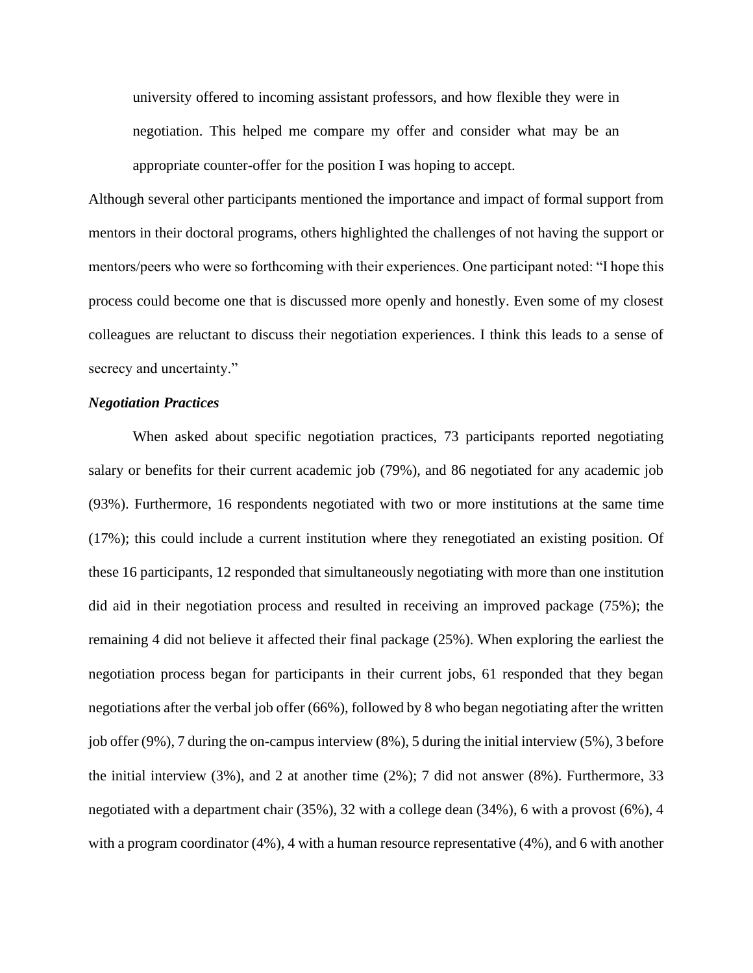university offered to incoming assistant professors, and how flexible they were in negotiation. This helped me compare my offer and consider what may be an appropriate counter-offer for the position I was hoping to accept.

Although several other participants mentioned the importance and impact of formal support from mentors in their doctoral programs, others highlighted the challenges of not having the support or mentors/peers who were so forthcoming with their experiences. One participant noted: "I hope this process could become one that is discussed more openly and honestly. Even some of my closest colleagues are reluctant to discuss their negotiation experiences. I think this leads to a sense of secrecy and uncertainty."

# *Negotiation Practices*

When asked about specific negotiation practices, 73 participants reported negotiating salary or benefits for their current academic job (79%), and 86 negotiated for any academic job (93%). Furthermore, 16 respondents negotiated with two or more institutions at the same time (17%); this could include a current institution where they renegotiated an existing position. Of these 16 participants, 12 responded that simultaneously negotiating with more than one institution did aid in their negotiation process and resulted in receiving an improved package (75%); the remaining 4 did not believe it affected their final package (25%). When exploring the earliest the negotiation process began for participants in their current jobs, 61 responded that they began negotiations after the verbal job offer (66%), followed by 8 who began negotiating after the written job offer (9%), 7 during the on-campus interview (8%), 5 during the initial interview (5%), 3 before the initial interview (3%), and 2 at another time (2%); 7 did not answer (8%). Furthermore, 33 negotiated with a department chair (35%), 32 with a college dean (34%), 6 with a provost (6%), 4 with a program coordinator (4%), 4 with a human resource representative (4%), and 6 with another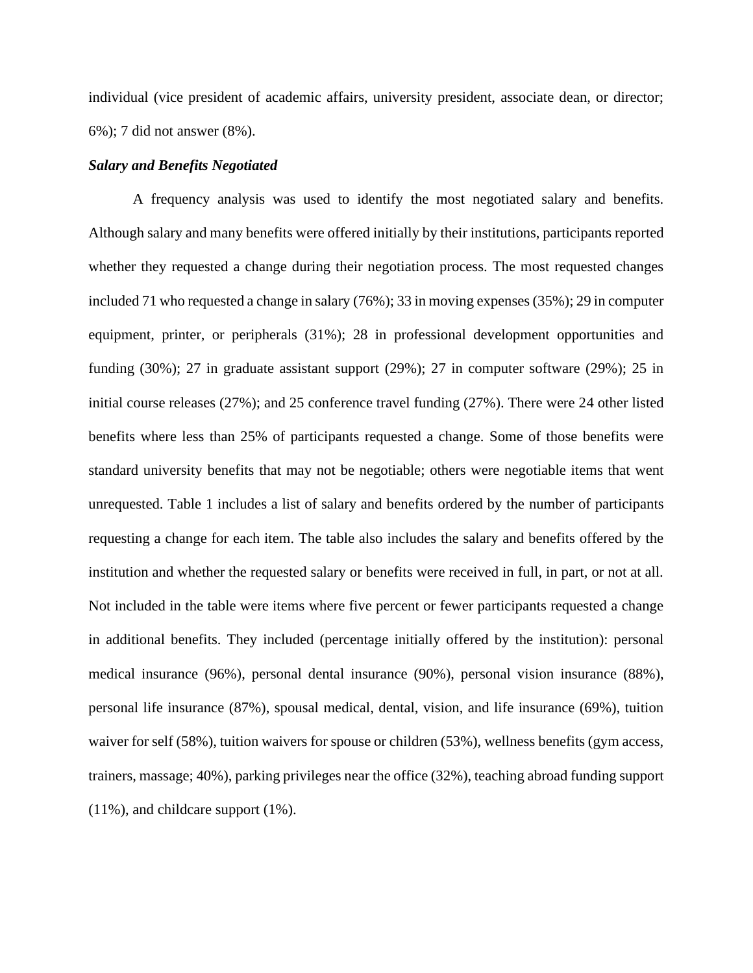individual (vice president of academic affairs, university president, associate dean, or director; 6%); 7 did not answer (8%).

### *Salary and Benefits Negotiated*

A frequency analysis was used to identify the most negotiated salary and benefits. Although salary and many benefits were offered initially by their institutions, participants reported whether they requested a change during their negotiation process. The most requested changes included 71 who requested a change in salary (76%); 33 in moving expenses (35%); 29 in computer equipment, printer, or peripherals (31%); 28 in professional development opportunities and funding (30%); 27 in graduate assistant support (29%); 27 in computer software (29%); 25 in initial course releases (27%); and 25 conference travel funding (27%). There were 24 other listed benefits where less than 25% of participants requested a change. Some of those benefits were standard university benefits that may not be negotiable; others were negotiable items that went unrequested. Table 1 includes a list of salary and benefits ordered by the number of participants requesting a change for each item. The table also includes the salary and benefits offered by the institution and whether the requested salary or benefits were received in full, in part, or not at all. Not included in the table were items where five percent or fewer participants requested a change in additional benefits. They included (percentage initially offered by the institution): personal medical insurance (96%), personal dental insurance (90%), personal vision insurance (88%), personal life insurance (87%), spousal medical, dental, vision, and life insurance (69%), tuition waiver for self (58%), tuition waivers for spouse or children (53%), wellness benefits (gym access, trainers, massage; 40%), parking privileges near the office (32%), teaching abroad funding support (11%), and childcare support (1%).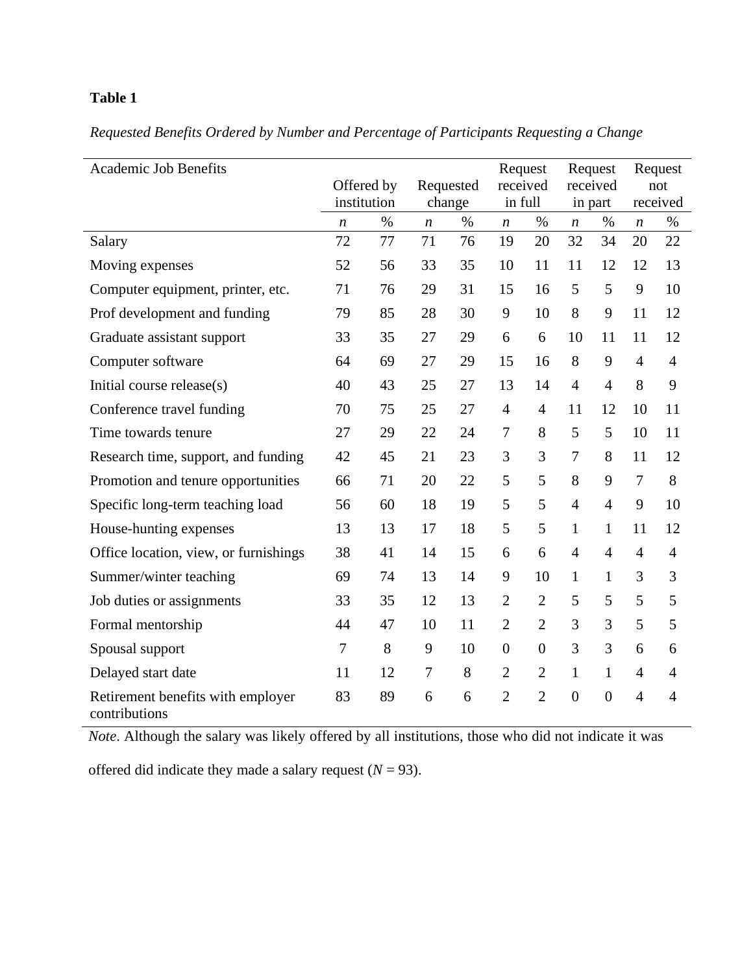# **Table 1**

|  |  | Requested Benefits Ordered by Number and Percentage of Participants Requesting a Change |  |  |
|--|--|-----------------------------------------------------------------------------------------|--|--|
|  |  |                                                                                         |  |  |

| <b>Academic Job Benefits</b>                       |                  |      |                |      | Request          |                  | Request          |                | Request          |                |
|----------------------------------------------------|------------------|------|----------------|------|------------------|------------------|------------------|----------------|------------------|----------------|
|                                                    | Offered by       |      | Requested      |      | received         |                  | received         |                | not              |                |
|                                                    | institution      |      | change         |      | in full          |                  | in part          |                | received         |                |
|                                                    | $\boldsymbol{n}$ | $\%$ | n              | $\%$ | n                | $\%$             | $\boldsymbol{n}$ | $\%$           | $\boldsymbol{n}$ | $\%$           |
| Salary                                             | 72               | 77   | 71             | 76   | 19               | 20               | 32               | 34             | 20               | 22             |
| Moving expenses                                    | 52               | 56   | 33             | 35   | 10               | 11               | 11               | 12             | 12               | 13             |
| Computer equipment, printer, etc.                  | 71               | 76   | 29             | 31   | 15               | 16               | 5                | 5              | 9                | 10             |
| Prof development and funding                       | 79               | 85   | 28             | 30   | 9                | 10               | 8                | 9              | 11               | 12             |
| Graduate assistant support                         | 33               | 35   | 27             | 29   | 6                | 6                | 10               | 11             | 11               | 12             |
| Computer software                                  | 64               | 69   | 27             | 29   | 15               | 16               | 8                | 9              | $\overline{4}$   | $\overline{4}$ |
| Initial course release(s)                          | 40               | 43   | 25             | 27   | 13               | 14               | $\overline{4}$   | $\overline{4}$ | 8                | 9              |
| Conference travel funding                          | 70               | 75   | 25             | 27   | $\overline{4}$   | $\overline{4}$   | 11               | 12             | 10               | 11             |
| Time towards tenure                                | 27               | 29   | 22             | 24   | 7                | 8                | 5                | 5              | 10               | 11             |
| Research time, support, and funding                | 42               | 45   | 21             | 23   | 3                | 3                | $\tau$           | 8              | 11               | 12             |
| Promotion and tenure opportunities                 | 66               | 71   | 20             | 22   | 5                | 5                | 8                | 9              | $\overline{7}$   | $8\,$          |
| Specific long-term teaching load                   | 56               | 60   | 18             | 19   | 5                | 5                | $\overline{4}$   | $\overline{4}$ | 9                | 10             |
| House-hunting expenses                             | 13               | 13   | 17             | 18   | 5                | 5                | $\mathbf{1}$     | $\mathbf{1}$   | 11               | 12             |
| Office location, view, or furnishings              | 38               | 41   | 14             | 15   | 6                | 6                | $\overline{4}$   | $\overline{4}$ | $\overline{4}$   | $\overline{4}$ |
| Summer/winter teaching                             | 69               | 74   | 13             | 14   | 9                | 10               | $\mathbf{1}$     | $\mathbf{1}$   | 3                | 3              |
| Job duties or assignments                          | 33               | 35   | 12             | 13   | $\overline{2}$   | $\overline{2}$   | 5                | 5              | 5                | 5              |
| Formal mentorship                                  | 44               | 47   | 10             | 11   | $\overline{2}$   | $\overline{2}$   | 3                | 3              | 5                | 5              |
| Spousal support                                    | $\tau$           | 8    | 9              | 10   | $\boldsymbol{0}$ | $\boldsymbol{0}$ | 3                | 3              | 6                | 6              |
| Delayed start date                                 | 11               | 12   | $\overline{7}$ | 8    | $\overline{2}$   | $\overline{2}$   | $\mathbf{1}$     | $\mathbf{1}$   | $\overline{4}$   | $\overline{4}$ |
| Retirement benefits with employer<br>contributions | 83               | 89   | 6              | 6    | $\overline{2}$   | $\overline{2}$   | $\boldsymbol{0}$ | $\overline{0}$ | $\overline{4}$   | $\overline{4}$ |

*Note*. Although the salary was likely offered by all institutions, those who did not indicate it was

offered did indicate they made a salary request  $(N = 93)$ .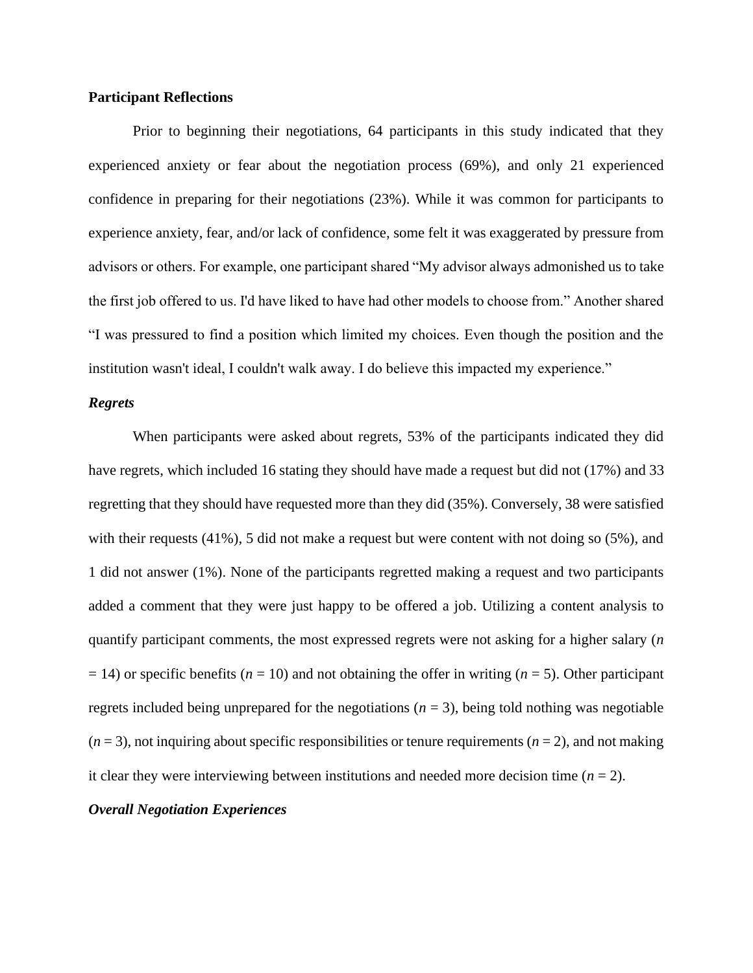# **Participant Reflections**

Prior to beginning their negotiations, 64 participants in this study indicated that they experienced anxiety or fear about the negotiation process (69%), and only 21 experienced confidence in preparing for their negotiations (23%). While it was common for participants to experience anxiety, fear, and/or lack of confidence, some felt it was exaggerated by pressure from advisors or others. For example, one participant shared "My advisor always admonished us to take the first job offered to us. I'd have liked to have had other models to choose from." Another shared "I was pressured to find a position which limited my choices. Even though the position and the institution wasn't ideal, I couldn't walk away. I do believe this impacted my experience."

# *Regrets*

When participants were asked about regrets, 53% of the participants indicated they did have regrets, which included 16 stating they should have made a request but did not (17%) and 33 regretting that they should have requested more than they did (35%). Conversely, 38 were satisfied with their requests (41%), 5 did not make a request but were content with not doing so (5%), and 1 did not answer (1%). None of the participants regretted making a request and two participants added a comment that they were just happy to be offered a job. Utilizing a content analysis to quantify participant comments, the most expressed regrets were not asking for a higher salary (*n* = 14) or specific benefits (*n* = 10) and not obtaining the offer in writing (*n* = 5). Other participant regrets included being unprepared for the negotiations  $(n = 3)$ , being told nothing was negotiable  $(n=3)$ , not inquiring about specific responsibilities or tenure requirements  $(n=2)$ , and not making it clear they were interviewing between institutions and needed more decision time  $(n = 2)$ .

#### *Overall Negotiation Experiences*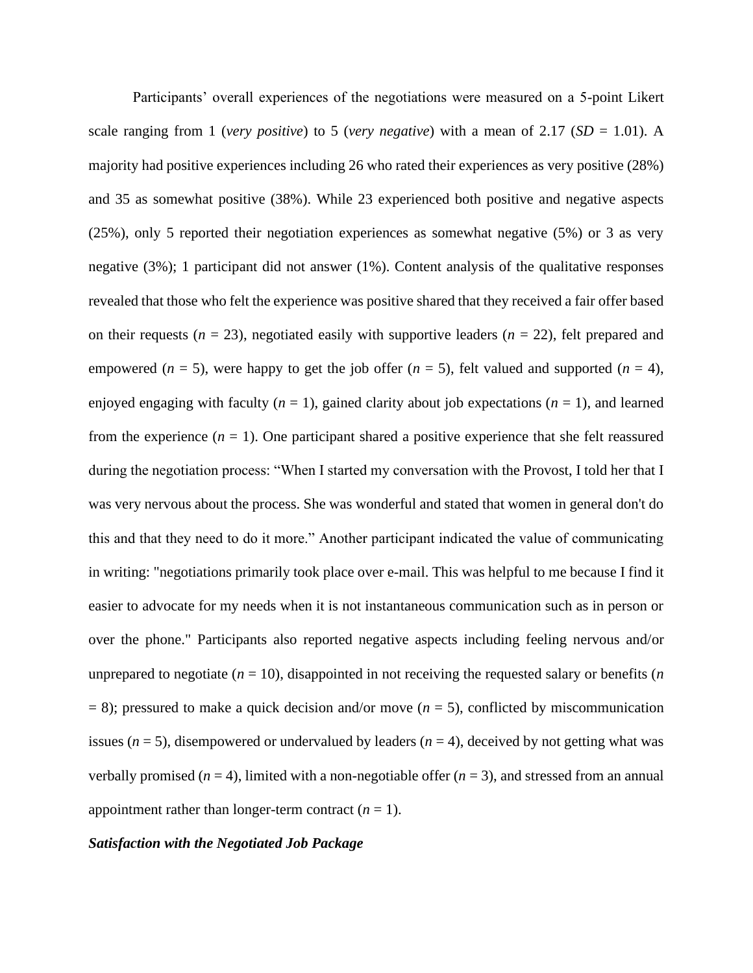Participants' overall experiences of the negotiations were measured on a 5-point Likert scale ranging from 1 (*very positive*) to 5 (*very negative*) with a mean of 2.17 ( $SD = 1.01$ ). A majority had positive experiences including 26 who rated their experiences as very positive (28%) and 35 as somewhat positive (38%). While 23 experienced both positive and negative aspects (25%), only 5 reported their negotiation experiences as somewhat negative (5%) or 3 as very negative (3%); 1 participant did not answer (1%). Content analysis of the qualitative responses revealed that those who felt the experience was positive shared that they received a fair offer based on their requests  $(n = 23)$ , negotiated easily with supportive leaders  $(n = 22)$ , felt prepared and empowered ( $n = 5$ ), were happy to get the job offer ( $n = 5$ ), felt valued and supported ( $n = 4$ ), enjoyed engaging with faculty  $(n = 1)$ , gained clarity about job expectations  $(n = 1)$ , and learned from the experience  $(n = 1)$ . One participant shared a positive experience that she felt reassured during the negotiation process: "When I started my conversation with the Provost, I told her that I was very nervous about the process. She was wonderful and stated that women in general don't do this and that they need to do it more." Another participant indicated the value of communicating in writing: "negotiations primarily took place over e-mail. This was helpful to me because I find it easier to advocate for my needs when it is not instantaneous communication such as in person or over the phone." Participants also reported negative aspects including feeling nervous and/or unprepared to negotiate  $(n = 10)$ , disappointed in not receiving the requested salary or benefits  $(n \geq 10)$  $= 8$ ); pressured to make a quick decision and/or move ( $n = 5$ ), conflicted by miscommunication issues ( $n = 5$ ), disempowered or undervalued by leaders ( $n = 4$ ), deceived by not getting what was verbally promised  $(n = 4)$ , limited with a non-negotiable offer  $(n = 3)$ , and stressed from an annual appointment rather than longer-term contract  $(n = 1)$ .

# *Satisfaction with the Negotiated Job Package*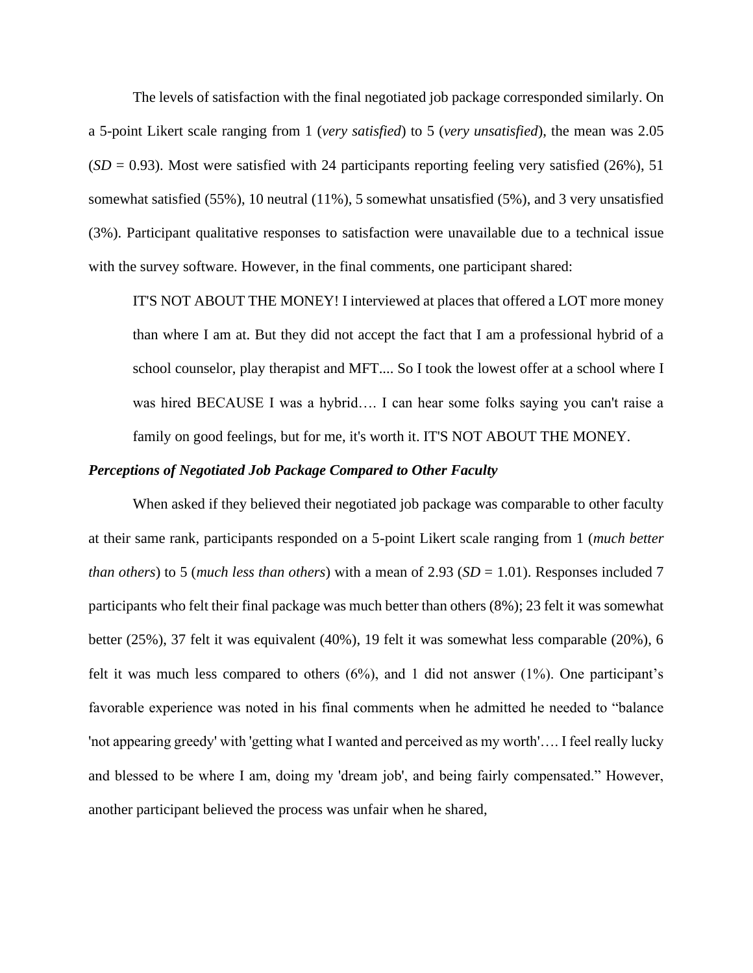The levels of satisfaction with the final negotiated job package corresponded similarly. On a 5-point Likert scale ranging from 1 (*very satisfied*) to 5 (*very unsatisfied*), the mean was 2.05  $(SD = 0.93)$ . Most were satisfied with 24 participants reporting feeling very satisfied (26%), 51 somewhat satisfied (55%), 10 neutral (11%), 5 somewhat unsatisfied (5%), and 3 very unsatisfied (3%). Participant qualitative responses to satisfaction were unavailable due to a technical issue with the survey software. However, in the final comments, one participant shared:

IT'S NOT ABOUT THE MONEY! I interviewed at places that offered a LOT more money than where I am at. But they did not accept the fact that I am a professional hybrid of a school counselor, play therapist and MFT.... So I took the lowest offer at a school where I was hired BECAUSE I was a hybrid…. I can hear some folks saying you can't raise a family on good feelings, but for me, it's worth it. IT'S NOT ABOUT THE MONEY.

### *Perceptions of Negotiated Job Package Compared to Other Faculty*

When asked if they believed their negotiated job package was comparable to other faculty at their same rank, participants responded on a 5-point Likert scale ranging from 1 (*much better than others*) to 5 (*much less than others*) with a mean of 2.93 (*SD* = 1.01). Responses included 7 participants who felt their final package was much better than others (8%); 23 felt it was somewhat better (25%), 37 felt it was equivalent (40%), 19 felt it was somewhat less comparable (20%), 6 felt it was much less compared to others  $(6\%)$ , and 1 did not answer  $(1\%)$ . One participant's favorable experience was noted in his final comments when he admitted he needed to "balance 'not appearing greedy' with 'getting what I wanted and perceived as my worth'…. I feel really lucky and blessed to be where I am, doing my 'dream job', and being fairly compensated." However, another participant believed the process was unfair when he shared,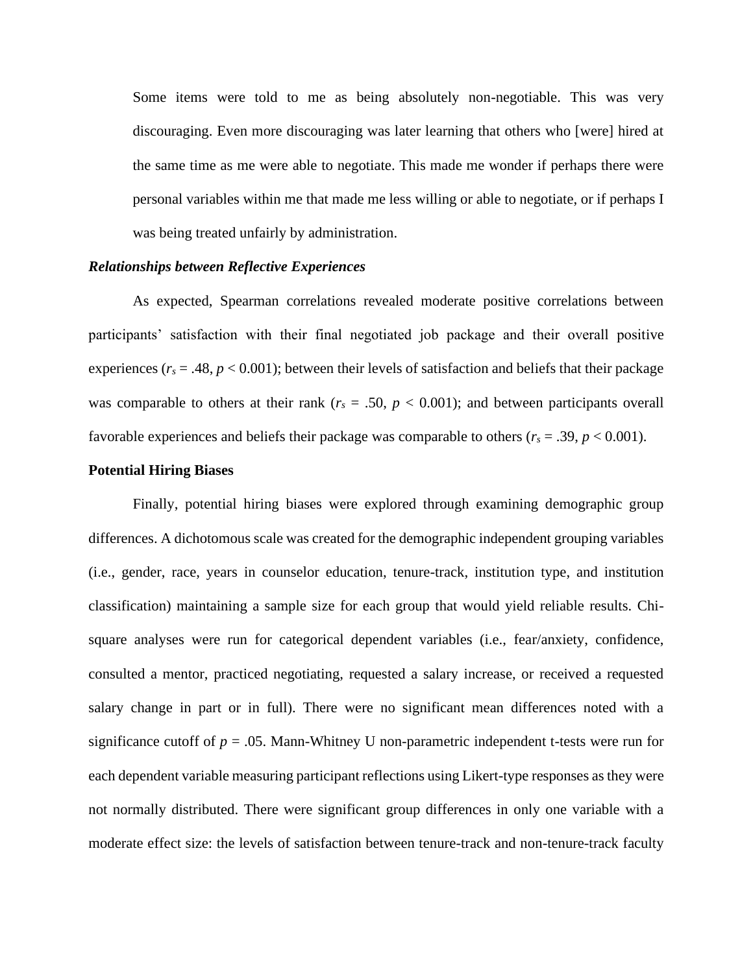Some items were told to me as being absolutely non-negotiable. This was very discouraging. Even more discouraging was later learning that others who [were] hired at the same time as me were able to negotiate. This made me wonder if perhaps there were personal variables within me that made me less willing or able to negotiate, or if perhaps I was being treated unfairly by administration.

#### *Relationships between Reflective Experiences*

As expected, Spearman correlations revealed moderate positive correlations between participants' satisfaction with their final negotiated job package and their overall positive experiences ( $r_s = .48$ ,  $p < 0.001$ ); between their levels of satisfaction and beliefs that their package was comparable to others at their rank ( $r_s = .50$ ,  $p < 0.001$ ); and between participants overall favorable experiences and beliefs their package was comparable to others ( $r_s = .39$ ,  $p < 0.001$ ).

#### **Potential Hiring Biases**

Finally, potential hiring biases were explored through examining demographic group differences. A dichotomous scale was created for the demographic independent grouping variables (i.e., gender, race, years in counselor education, tenure-track, institution type, and institution classification) maintaining a sample size for each group that would yield reliable results. Chisquare analyses were run for categorical dependent variables (i.e., fear/anxiety, confidence, consulted a mentor, practiced negotiating, requested a salary increase, or received a requested salary change in part or in full). There were no significant mean differences noted with a significance cutoff of  $p = 0.05$ . Mann-Whitney U non-parametric independent t-tests were run for each dependent variable measuring participant reflections using Likert-type responses as they were not normally distributed. There were significant group differences in only one variable with a moderate effect size: the levels of satisfaction between tenure-track and non-tenure-track faculty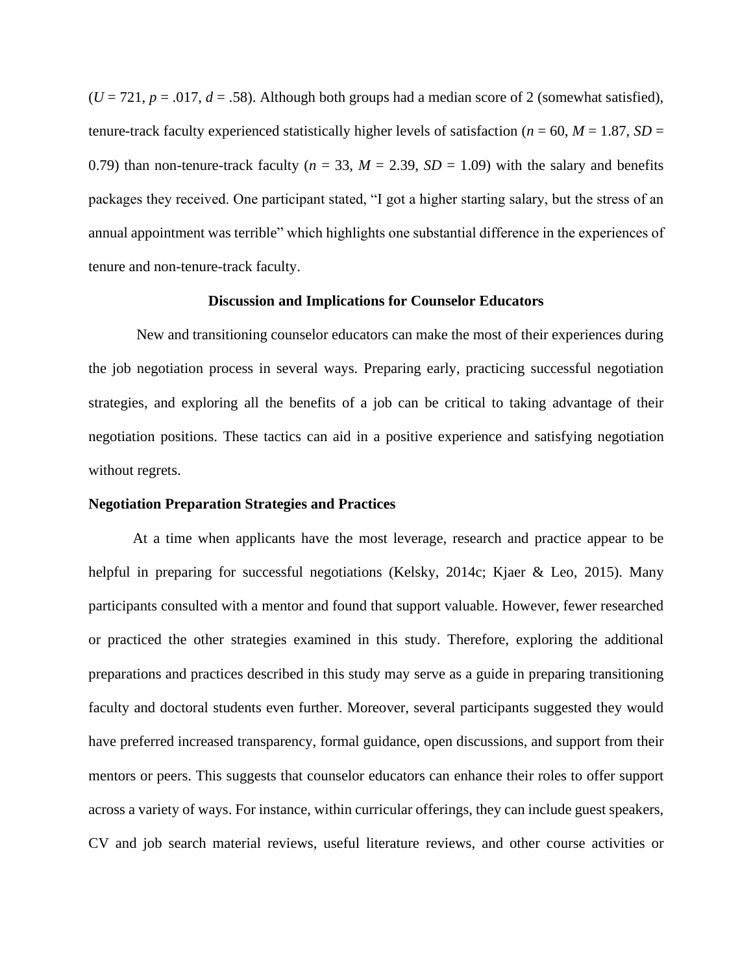$(U = 721, p = .017, d = .58)$ . Although both groups had a median score of 2 (somewhat satisfied), tenure-track faculty experienced statistically higher levels of satisfaction ( $n = 60$ ,  $M = 1.87$ ,  $SD =$ 0.79) than non-tenure-track faculty ( $n = 33$ ,  $M = 2.39$ ,  $SD = 1.09$ ) with the salary and benefits packages they received. One participant stated, "I got a higher starting salary, but the stress of an annual appointment was terrible" which highlights one substantial difference in the experiences of tenure and non-tenure-track faculty.

#### **Discussion and Implications for Counselor Educators**

New and transitioning counselor educators can make the most of their experiences during the job negotiation process in several ways. Preparing early, practicing successful negotiation strategies, and exploring all the benefits of a job can be critical to taking advantage of their negotiation positions. These tactics can aid in a positive experience and satisfying negotiation without regrets.

#### **Negotiation Preparation Strategies and Practices**

At a time when applicants have the most leverage, research and practice appear to be helpful in preparing for successful negotiations (Kelsky, 2014c; Kjaer & Leo, 2015). Many participants consulted with a mentor and found that support valuable. However, fewer researched or practiced the other strategies examined in this study. Therefore, exploring the additional preparations and practices described in this study may serve as a guide in preparing transitioning faculty and doctoral students even further. Moreover, several participants suggested they would have preferred increased transparency, formal guidance, open discussions, and support from their mentors or peers. This suggests that counselor educators can enhance their roles to offer support across a variety of ways. For instance, within curricular offerings, they can include guest speakers, CV and job search material reviews, useful literature reviews, and other course activities or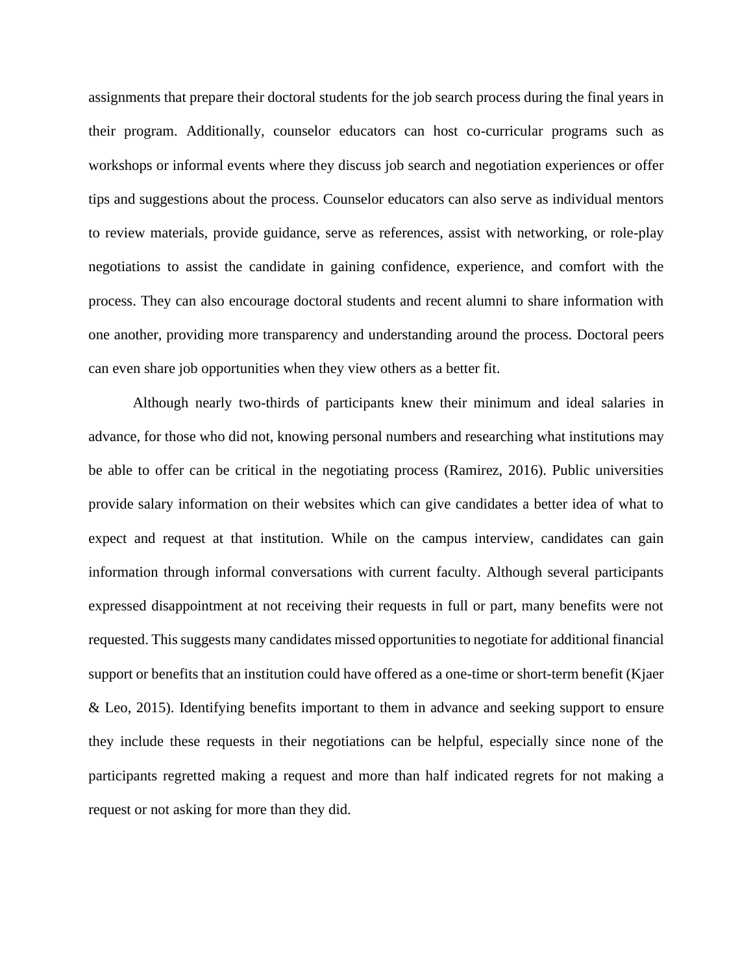assignments that prepare their doctoral students for the job search process during the final years in their program. Additionally, counselor educators can host co-curricular programs such as workshops or informal events where they discuss job search and negotiation experiences or offer tips and suggestions about the process. Counselor educators can also serve as individual mentors to review materials, provide guidance, serve as references, assist with networking, or role-play negotiations to assist the candidate in gaining confidence, experience, and comfort with the process. They can also encourage doctoral students and recent alumni to share information with one another, providing more transparency and understanding around the process. Doctoral peers can even share job opportunities when they view others as a better fit.

Although nearly two-thirds of participants knew their minimum and ideal salaries in advance, for those who did not, knowing personal numbers and researching what institutions may be able to offer can be critical in the negotiating process (Ramirez, 2016). Public universities provide salary information on their websites which can give candidates a better idea of what to expect and request at that institution. While on the campus interview, candidates can gain information through informal conversations with current faculty. Although several participants expressed disappointment at not receiving their requests in full or part, many benefits were not requested. This suggests many candidates missed opportunities to negotiate for additional financial support or benefits that an institution could have offered as a one-time or short-term benefit (Kjaer & Leo, 2015). Identifying benefits important to them in advance and seeking support to ensure they include these requests in their negotiations can be helpful, especially since none of the participants regretted making a request and more than half indicated regrets for not making a request or not asking for more than they did.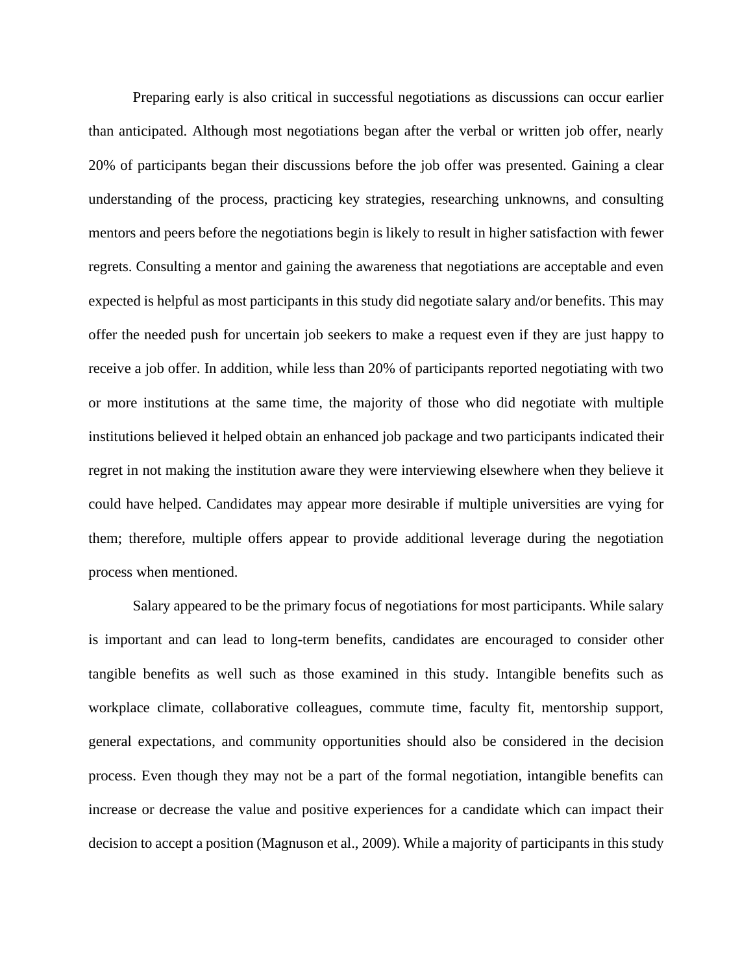Preparing early is also critical in successful negotiations as discussions can occur earlier than anticipated. Although most negotiations began after the verbal or written job offer, nearly 20% of participants began their discussions before the job offer was presented. Gaining a clear understanding of the process, practicing key strategies, researching unknowns, and consulting mentors and peers before the negotiations begin is likely to result in higher satisfaction with fewer regrets. Consulting a mentor and gaining the awareness that negotiations are acceptable and even expected is helpful as most participants in this study did negotiate salary and/or benefits. This may offer the needed push for uncertain job seekers to make a request even if they are just happy to receive a job offer. In addition, while less than 20% of participants reported negotiating with two or more institutions at the same time, the majority of those who did negotiate with multiple institutions believed it helped obtain an enhanced job package and two participants indicated their regret in not making the institution aware they were interviewing elsewhere when they believe it could have helped. Candidates may appear more desirable if multiple universities are vying for them; therefore, multiple offers appear to provide additional leverage during the negotiation process when mentioned.

Salary appeared to be the primary focus of negotiations for most participants. While salary is important and can lead to long-term benefits, candidates are encouraged to consider other tangible benefits as well such as those examined in this study. Intangible benefits such as workplace climate, collaborative colleagues, commute time, faculty fit, mentorship support, general expectations, and community opportunities should also be considered in the decision process. Even though they may not be a part of the formal negotiation, intangible benefits can increase or decrease the value and positive experiences for a candidate which can impact their decision to accept a position (Magnuson et al., 2009). While a majority of participants in this study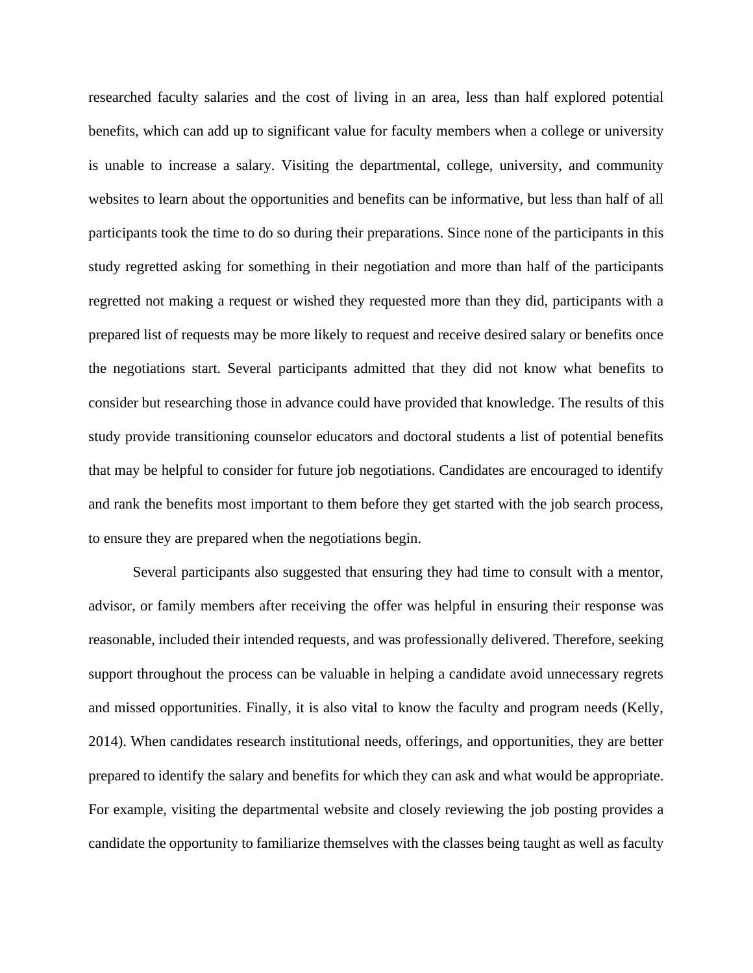researched faculty salaries and the cost of living in an area, less than half explored potential benefits, which can add up to significant value for faculty members when a college or university is unable to increase a salary. Visiting the departmental, college, university, and community websites to learn about the opportunities and benefits can be informative, but less than half of all participants took the time to do so during their preparations. Since none of the participants in this study regretted asking for something in their negotiation and more than half of the participants regretted not making a request or wished they requested more than they did, participants with a prepared list of requests may be more likely to request and receive desired salary or benefits once the negotiations start. Several participants admitted that they did not know what benefits to consider but researching those in advance could have provided that knowledge. The results of this study provide transitioning counselor educators and doctoral students a list of potential benefits that may be helpful to consider for future job negotiations. Candidates are encouraged to identify and rank the benefits most important to them before they get started with the job search process, to ensure they are prepared when the negotiations begin.

Several participants also suggested that ensuring they had time to consult with a mentor, advisor, or family members after receiving the offer was helpful in ensuring their response was reasonable, included their intended requests, and was professionally delivered. Therefore, seeking support throughout the process can be valuable in helping a candidate avoid unnecessary regrets and missed opportunities. Finally, it is also vital to know the faculty and program needs (Kelly, 2014). When candidates research institutional needs, offerings, and opportunities, they are better prepared to identify the salary and benefits for which they can ask and what would be appropriate. For example, visiting the departmental website and closely reviewing the job posting provides a candidate the opportunity to familiarize themselves with the classes being taught as well as faculty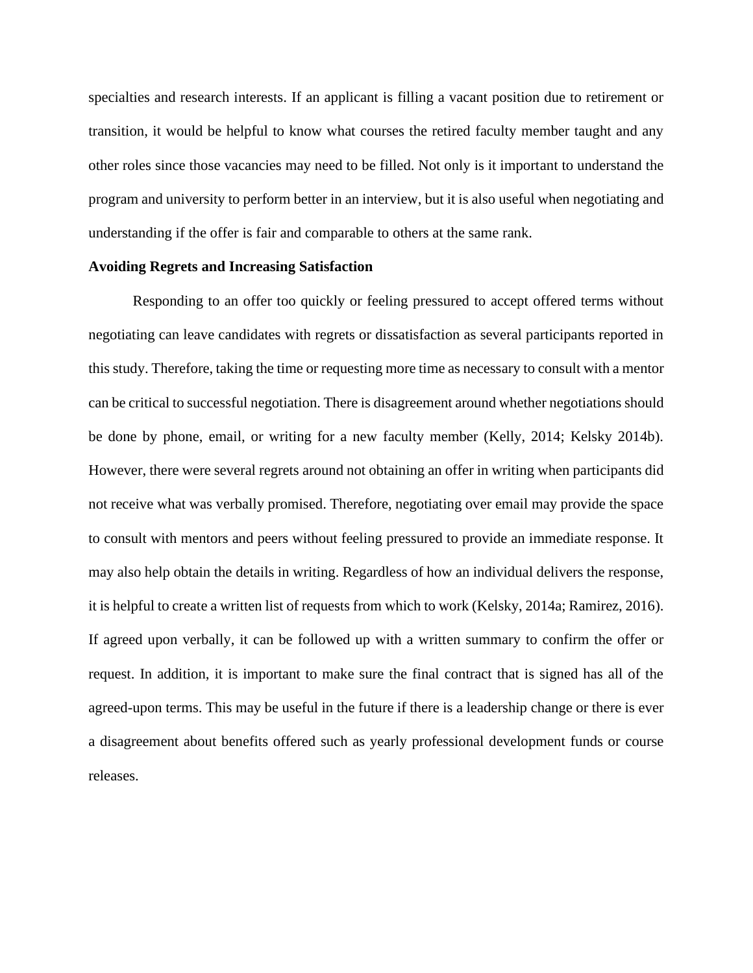specialties and research interests. If an applicant is filling a vacant position due to retirement or transition, it would be helpful to know what courses the retired faculty member taught and any other roles since those vacancies may need to be filled. Not only is it important to understand the program and university to perform better in an interview, but it is also useful when negotiating and understanding if the offer is fair and comparable to others at the same rank.

#### **Avoiding Regrets and Increasing Satisfaction**

Responding to an offer too quickly or feeling pressured to accept offered terms without negotiating can leave candidates with regrets or dissatisfaction as several participants reported in this study. Therefore, taking the time or requesting more time as necessary to consult with a mentor can be critical to successful negotiation. There is disagreement around whether negotiations should be done by phone, email, or writing for a new faculty member (Kelly, 2014; Kelsky 2014b). However, there were several regrets around not obtaining an offer in writing when participants did not receive what was verbally promised. Therefore, negotiating over email may provide the space to consult with mentors and peers without feeling pressured to provide an immediate response. It may also help obtain the details in writing. Regardless of how an individual delivers the response, it is helpful to create a written list of requests from which to work (Kelsky, 2014a; Ramirez, 2016). If agreed upon verbally, it can be followed up with a written summary to confirm the offer or request. In addition, it is important to make sure the final contract that is signed has all of the agreed-upon terms. This may be useful in the future if there is a leadership change or there is ever a disagreement about benefits offered such as yearly professional development funds or course releases.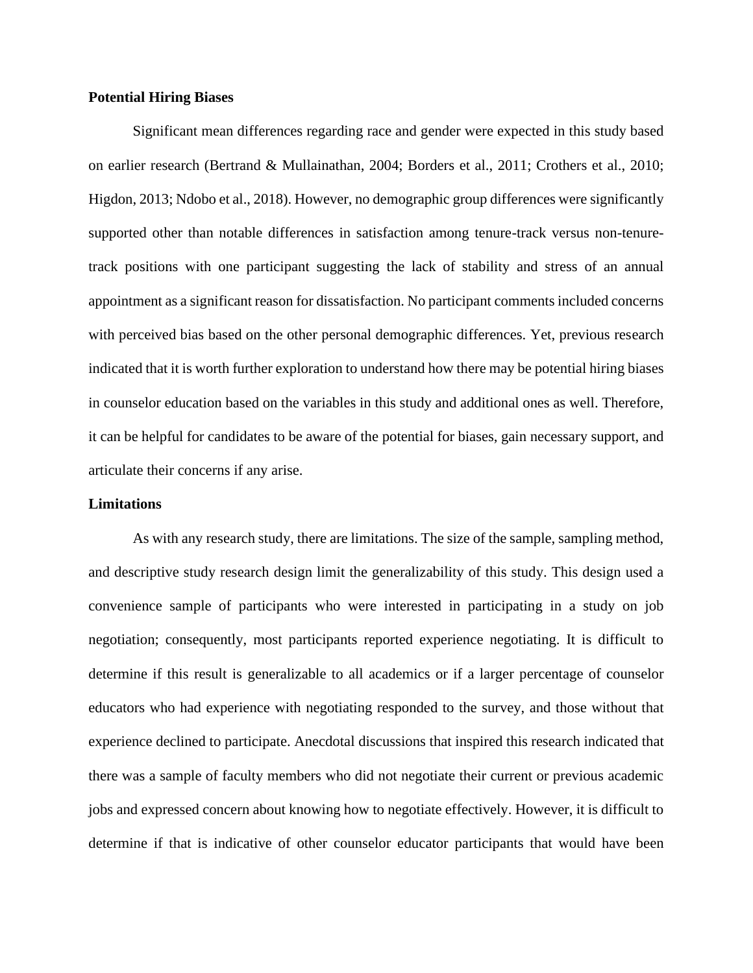# **Potential Hiring Biases**

Significant mean differences regarding race and gender were expected in this study based on earlier research (Bertrand & Mullainathan, 2004; Borders et al., 2011; Crothers et al., 2010; Higdon, 2013; Ndobo et al., 2018). However, no demographic group differences were significantly supported other than notable differences in satisfaction among tenure-track versus non-tenuretrack positions with one participant suggesting the lack of stability and stress of an annual appointment as a significant reason for dissatisfaction. No participant comments included concerns with perceived bias based on the other personal demographic differences. Yet, previous research indicated that it is worth further exploration to understand how there may be potential hiring biases in counselor education based on the variables in this study and additional ones as well. Therefore, it can be helpful for candidates to be aware of the potential for biases, gain necessary support, and articulate their concerns if any arise.

#### **Limitations**

As with any research study, there are limitations. The size of the sample, sampling method, and descriptive study research design limit the generalizability of this study. This design used a convenience sample of participants who were interested in participating in a study on job negotiation; consequently, most participants reported experience negotiating. It is difficult to determine if this result is generalizable to all academics or if a larger percentage of counselor educators who had experience with negotiating responded to the survey, and those without that experience declined to participate. Anecdotal discussions that inspired this research indicated that there was a sample of faculty members who did not negotiate their current or previous academic jobs and expressed concern about knowing how to negotiate effectively. However, it is difficult to determine if that is indicative of other counselor educator participants that would have been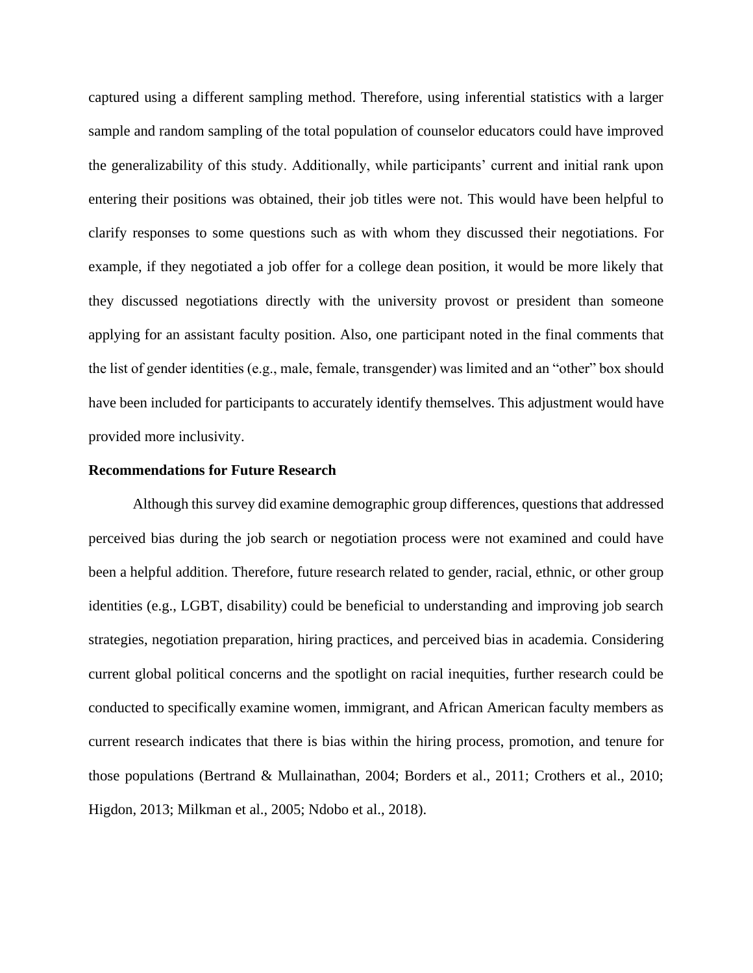captured using a different sampling method. Therefore, using inferential statistics with a larger sample and random sampling of the total population of counselor educators could have improved the generalizability of this study. Additionally, while participants' current and initial rank upon entering their positions was obtained, their job titles were not. This would have been helpful to clarify responses to some questions such as with whom they discussed their negotiations. For example, if they negotiated a job offer for a college dean position, it would be more likely that they discussed negotiations directly with the university provost or president than someone applying for an assistant faculty position. Also, one participant noted in the final comments that the list of gender identities (e.g., male, female, transgender) was limited and an "other" box should have been included for participants to accurately identify themselves. This adjustment would have provided more inclusivity.

#### **Recommendations for Future Research**

Although this survey did examine demographic group differences, questions that addressed perceived bias during the job search or negotiation process were not examined and could have been a helpful addition. Therefore, future research related to gender, racial, ethnic, or other group identities (e.g., LGBT, disability) could be beneficial to understanding and improving job search strategies, negotiation preparation, hiring practices, and perceived bias in academia. Considering current global political concerns and the spotlight on racial inequities, further research could be conducted to specifically examine women, immigrant, and African American faculty members as current research indicates that there is bias within the hiring process, promotion, and tenure for those populations (Bertrand & Mullainathan, 2004; Borders et al., 2011; Crothers et al., 2010; Higdon, 2013; Milkman et al., 2005; Ndobo et al., 2018).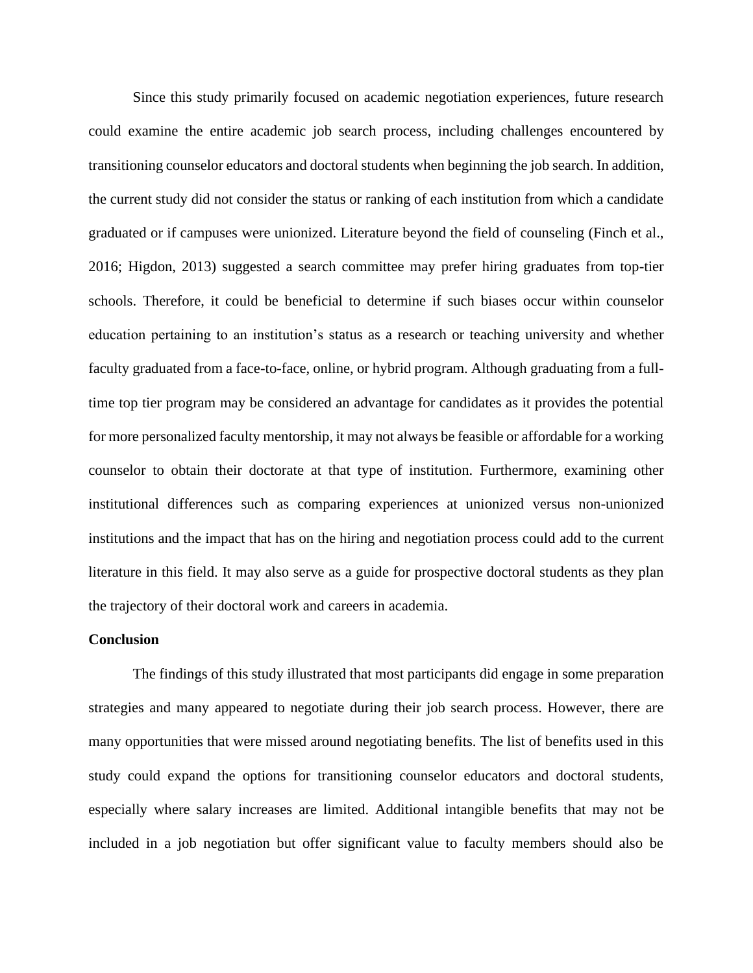Since this study primarily focused on academic negotiation experiences, future research could examine the entire academic job search process, including challenges encountered by transitioning counselor educators and doctoral students when beginning the job search. In addition, the current study did not consider the status or ranking of each institution from which a candidate graduated or if campuses were unionized. Literature beyond the field of counseling (Finch et al., 2016; Higdon, 2013) suggested a search committee may prefer hiring graduates from top-tier schools. Therefore, it could be beneficial to determine if such biases occur within counselor education pertaining to an institution's status as a research or teaching university and whether faculty graduated from a face-to-face, online, or hybrid program. Although graduating from a fulltime top tier program may be considered an advantage for candidates as it provides the potential for more personalized faculty mentorship, it may not always be feasible or affordable for a working counselor to obtain their doctorate at that type of institution. Furthermore, examining other institutional differences such as comparing experiences at unionized versus non-unionized institutions and the impact that has on the hiring and negotiation process could add to the current literature in this field. It may also serve as a guide for prospective doctoral students as they plan the trajectory of their doctoral work and careers in academia.

# **Conclusion**

The findings of this study illustrated that most participants did engage in some preparation strategies and many appeared to negotiate during their job search process. However, there are many opportunities that were missed around negotiating benefits. The list of benefits used in this study could expand the options for transitioning counselor educators and doctoral students, especially where salary increases are limited. Additional intangible benefits that may not be included in a job negotiation but offer significant value to faculty members should also be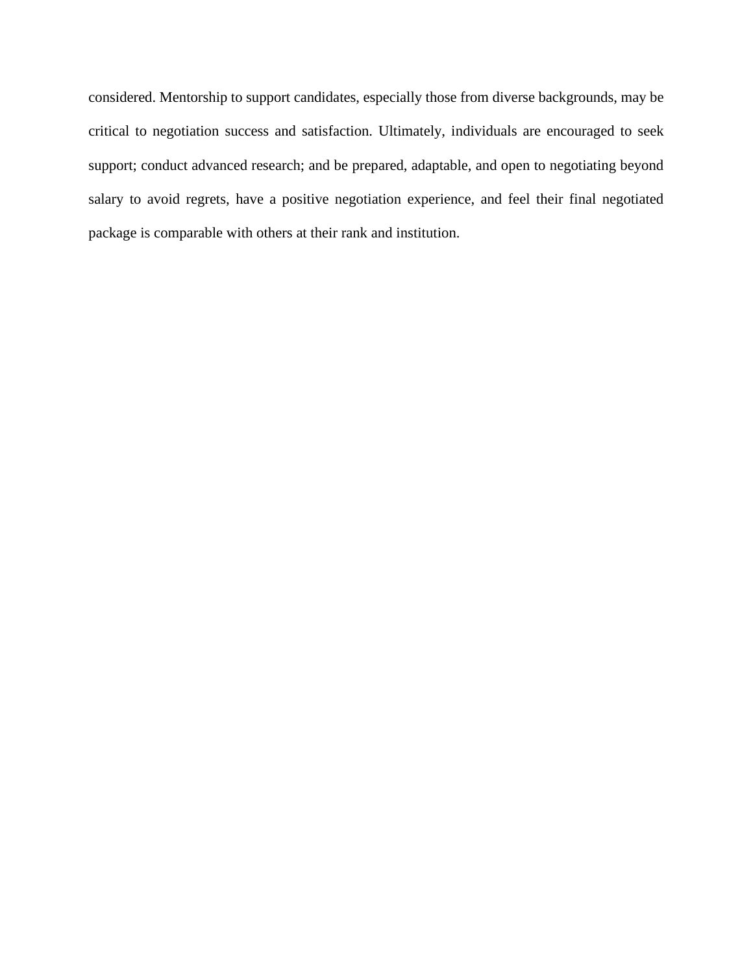considered. Mentorship to support candidates, especially those from diverse backgrounds, may be critical to negotiation success and satisfaction. Ultimately, individuals are encouraged to seek support; conduct advanced research; and be prepared, adaptable, and open to negotiating beyond salary to avoid regrets, have a positive negotiation experience, and feel their final negotiated package is comparable with others at their rank and institution.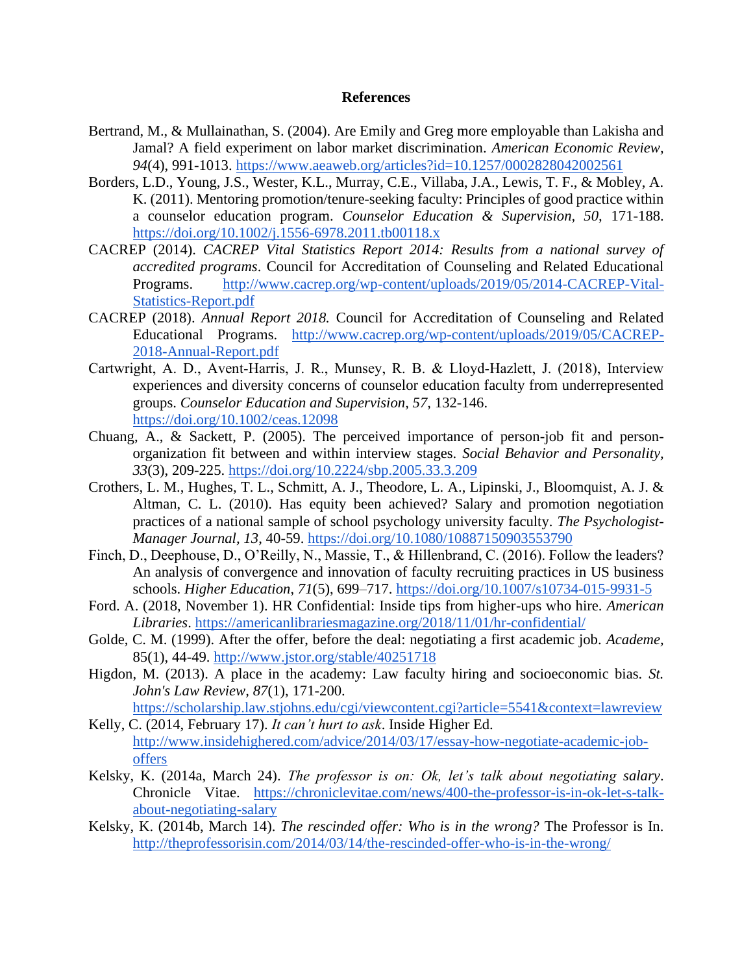### **References**

- Bertrand, M., & Mullainathan, S. (2004). Are Emily and Greg more employable than Lakisha and Jamal? A field experiment on labor market discrimination. *American Economic Review, 94*(4), 991-1013.<https://www.aeaweb.org/articles?id=10.1257/0002828042002561>
- Borders, L.D., Young, J.S., Wester, K.L., Murray, C.E., Villaba, J.A., Lewis, T. F., & Mobley, A. K. (2011). Mentoring promotion/tenure-seeking faculty: Principles of good practice within a counselor education program. *Counselor Education & Supervision, 50,* 171-188. <https://doi.org/10.1002/j.1556-6978.2011.tb00118.x>
- CACREP (2014). *CACREP Vital Statistics Report 2014: Results from a national survey of accredited programs*. Council for Accreditation of Counseling and Related Educational Programs. [http://www.cacrep.org/wp-content/uploads/2019/05/2014-CACREP-Vital-](http://www.cacrep.org/wp-content/uploads/2019/05/2014-CACREP-Vital-Statistics-Report.pdf)[Statistics-Report.pdf](http://www.cacrep.org/wp-content/uploads/2019/05/2014-CACREP-Vital-Statistics-Report.pdf)
- CACREP (2018). *Annual Report 2018.* Council for Accreditation of Counseling and Related Educational Programs. [http://www.cacrep.org/wp-content/uploads/2019/05/CACREP-](http://www.cacrep.org/wp-content/uploads/2019/05/CACREP-2018-Annual-Report.pdf)[2018-Annual-Report.pdf](http://www.cacrep.org/wp-content/uploads/2019/05/CACREP-2018-Annual-Report.pdf)
- Cartwright, A. D., Avent‐Harris, J. R., Munsey, R. B. & Lloyd‐Hazlett, J. (2018), Interview experiences and diversity concerns of counselor education faculty from underrepresented groups. *Counselor Education and Supervision, 57,* 132-146. <https://doi.org/10.1002/ceas.12098>
- Chuang, A., & Sackett, P. (2005). The perceived importance of person-job fit and personorganization fit between and within interview stages. *Social Behavior and Personality, 33*(3), 209-225.<https://doi.org/10.2224/sbp.2005.33.3.209>
- Crothers, L. M., Hughes, T. L., Schmitt, A. J., Theodore, L. A., Lipinski, J., Bloomquist, A. J. & Altman, C. L. (2010). Has equity been achieved? Salary and promotion negotiation practices of a national sample of school psychology university faculty. *The Psychologist-Manager Journal, 13*, 40-59. [https://doi.org/10.1080/10887150903553790](https://psycnet.apa.org/doi/10.1080/10887150903553790)
- Finch, D., Deephouse, D., O'Reilly, N., Massie, T., & Hillenbrand, C. (2016). Follow the leaders? An analysis of convergence and innovation of faculty recruiting practices in US business schools. *Higher Education*, *71*(5), 699–717.<https://doi.org/10.1007/s10734-015-9931-5>
- Ford. A. (2018, November 1). HR Confidential: Inside tips from higher-ups who hire. *American Libraries*.<https://americanlibrariesmagazine.org/2018/11/01/hr-confidential/>
- Golde, C. M. (1999). After the offer, before the deal: negotiating a first academic job. *Academe,* 85(1), 44-49. [http://www.jstor.org/stable/40251718](http://www.jstor.org/stable/40251718.)
- Higdon, M. (2013). A place in the academy: Law faculty hiring and socioeconomic bias. *St*. *John's Law Review, 87*(1), 171-200. <https://scholarship.law.stjohns.edu/cgi/viewcontent.cgi?article=5541&context=lawreview>
- Kelly, C. (2014, February 17). *It can't hurt to ask*. Inside Higher Ed. [http://www.insidehighered.com/advice/2014/03/17/essay-how-negotiate-academic-job](http://www.insidehighered.com/advice/2014/03/17/essay-how-negotiate-academic-job-offers)[offers](http://www.insidehighered.com/advice/2014/03/17/essay-how-negotiate-academic-job-offers)
- Kelsky, K. (2014a, March 24). *The professor is on: Ok, let's talk about negotiating salary*. Chronicle Vitae. [https://chroniclevitae.com/news/400-the-professor-is-in-ok-let-s-talk](https://chroniclevitae.com/news/400-the-professor-is-in-ok-let-s-talk-about-negotiating-salary)[about-negotiating-salary](https://chroniclevitae.com/news/400-the-professor-is-in-ok-let-s-talk-about-negotiating-salary)
- Kelsky, K. (2014b, March 14). *The rescinded offer: Who is in the wrong?* The Professor is In. <http://theprofessorisin.com/2014/03/14/the-rescinded-offer-who-is-in-the-wrong/>